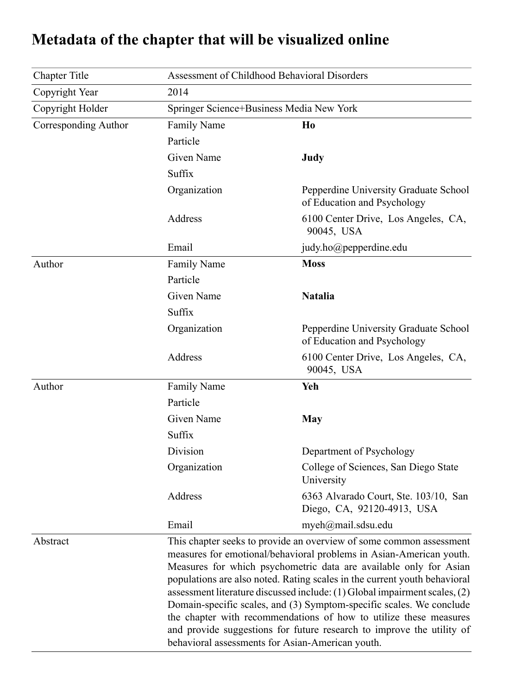## Metadata of the chapter that will be visualized online

| <b>Chapter Title</b> | Assessment of Childhood Behavioral Disorders                                                                                                                                                                                                                                                                                                                                                                                                                                                                                                                                                                                                         |                                                                      |
|----------------------|------------------------------------------------------------------------------------------------------------------------------------------------------------------------------------------------------------------------------------------------------------------------------------------------------------------------------------------------------------------------------------------------------------------------------------------------------------------------------------------------------------------------------------------------------------------------------------------------------------------------------------------------------|----------------------------------------------------------------------|
| Copyright Year       | 2014                                                                                                                                                                                                                                                                                                                                                                                                                                                                                                                                                                                                                                                 |                                                                      |
| Copyright Holder     | Springer Science+Business Media New York                                                                                                                                                                                                                                                                                                                                                                                                                                                                                                                                                                                                             |                                                                      |
| Corresponding Author | <b>Family Name</b>                                                                                                                                                                                                                                                                                                                                                                                                                                                                                                                                                                                                                                   | Ho                                                                   |
|                      | Particle                                                                                                                                                                                                                                                                                                                                                                                                                                                                                                                                                                                                                                             |                                                                      |
|                      | Given Name                                                                                                                                                                                                                                                                                                                                                                                                                                                                                                                                                                                                                                           | Judy                                                                 |
|                      | Suffix                                                                                                                                                                                                                                                                                                                                                                                                                                                                                                                                                                                                                                               |                                                                      |
|                      | Organization                                                                                                                                                                                                                                                                                                                                                                                                                                                                                                                                                                                                                                         | Pepperdine University Graduate School<br>of Education and Psychology |
|                      | Address                                                                                                                                                                                                                                                                                                                                                                                                                                                                                                                                                                                                                                              | 6100 Center Drive, Los Angeles, CA,<br>90045, USA                    |
|                      | Email                                                                                                                                                                                                                                                                                                                                                                                                                                                                                                                                                                                                                                                | judy.ho@pepperdine.edu                                               |
| Author               | <b>Family Name</b>                                                                                                                                                                                                                                                                                                                                                                                                                                                                                                                                                                                                                                   | <b>Moss</b>                                                          |
|                      | Particle                                                                                                                                                                                                                                                                                                                                                                                                                                                                                                                                                                                                                                             |                                                                      |
|                      | Given Name                                                                                                                                                                                                                                                                                                                                                                                                                                                                                                                                                                                                                                           | <b>Natalia</b>                                                       |
|                      | Suffix                                                                                                                                                                                                                                                                                                                                                                                                                                                                                                                                                                                                                                               |                                                                      |
|                      | Organization                                                                                                                                                                                                                                                                                                                                                                                                                                                                                                                                                                                                                                         | Pepperdine University Graduate School<br>of Education and Psychology |
|                      | Address                                                                                                                                                                                                                                                                                                                                                                                                                                                                                                                                                                                                                                              | 6100 Center Drive, Los Angeles, CA,<br>90045, USA                    |
| Author               | <b>Family Name</b>                                                                                                                                                                                                                                                                                                                                                                                                                                                                                                                                                                                                                                   | Yeh                                                                  |
|                      | Particle                                                                                                                                                                                                                                                                                                                                                                                                                                                                                                                                                                                                                                             |                                                                      |
|                      | <b>Given Name</b>                                                                                                                                                                                                                                                                                                                                                                                                                                                                                                                                                                                                                                    | <b>May</b>                                                           |
|                      | Suffix                                                                                                                                                                                                                                                                                                                                                                                                                                                                                                                                                                                                                                               |                                                                      |
|                      | Division                                                                                                                                                                                                                                                                                                                                                                                                                                                                                                                                                                                                                                             | Department of Psychology                                             |
|                      | Organization                                                                                                                                                                                                                                                                                                                                                                                                                                                                                                                                                                                                                                         | College of Sciences, San Diego State<br>University                   |
|                      | Address                                                                                                                                                                                                                                                                                                                                                                                                                                                                                                                                                                                                                                              | 6363 Alvarado Court, Ste. 103/10, San<br>Diego, CA, 92120-4913, USA  |
|                      | Email                                                                                                                                                                                                                                                                                                                                                                                                                                                                                                                                                                                                                                                | myeh@mail.sdsu.edu                                                   |
| Abstract             | This chapter seeks to provide an overview of some common assessment<br>measures for emotional/behavioral problems in Asian-American youth.<br>Measures for which psychometric data are available only for Asian<br>populations are also noted. Rating scales in the current youth behavioral<br>assessment literature discussed include: (1) Global impairment scales, (2)<br>Domain-specific scales, and (3) Symptom-specific scales. We conclude<br>the chapter with recommendations of how to utilize these measures<br>and provide suggestions for future research to improve the utility of<br>behavioral assessments for Asian-American youth. |                                                                      |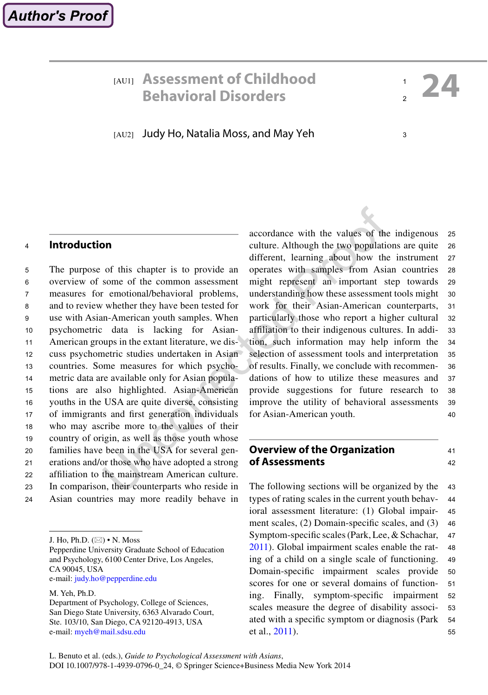## **24 Assessment of Childhood Childhood Property 24 Behavioral Disorders Behavioral Disorders**

3

[AU2] Judy Ho, Natalia Moss, and May Yeh

#### **Introduction** 4

The purpose of this chapter is to provide an overview of some of the common assessment measures for emotional/behavioral problems, and to review whether they have been tested for use with Asian-American youth samples. When psychometric data is lacking for Asian-American groups in the extant literature, we discuss psychometric studies undertaken in Asian countries. Some measures for which psychometric data are available only for Asian populations are also highlighted. Asian-American youths in the USA are quite diverse, consisting of immigrants and first generation individuals who may ascribe more to the values of their country of origin, as well as those youth whose families have been in the USA for several generations and/or those who have adopted a strong affiliation to the mainstream American culture. In comparison, their counterparts who reside in Asian countries may more readily behave in 5 6 7 8 9 10 11 12 13 14 15 16 17 18 19 20 21 22 23 24

Pepperdine University Graduate School of Education and Psychology, 6100 Center Drive, Los Angeles, CA 90045, USA e-mail: [judy.ho@pepperdine.edu](mailto:judy.ho@pepperdine.edu)

M. Yeh, Ph.D.

accordance with the values of the indigenous culture. Although the two populations are quite different, learning about how the instrument operates with samples from Asian countries might represent an important step towards understanding how these assessment tools might work for their Asian-American counterparts, particularly those who report a higher cultural affiliation to their indigenous cultures. In addition, such information may help inform the selection of assessment tools and interpretation of results. Finally, we conclude with recommendations of how to utilize these measures and provide suggestions for future research to improve the utility of behavioral assessments for Asian-American youth. 25 26 27 28 29 30 31 32 33 34 35 36 37 38 39 40

## **Overview of the Organization of Assessments**

41 42

The following sections will be organized by the types of rating scales in the current youth behavioral assessment literature: (1) Global impairment scales, (2) Domain-specific scales, and (3) Symptom-specific scales (Park, Lee, & Schachar, [2011\)](#page-24-0). Global impairment scales enable the rating of a child on a single scale of functioning. Domain-specific impairment scales provide scores for one or several domains of functioning. Finally, symptom-specific impairment scales measure the degree of disability associated with a specific symptom or diagnosis (Park et al., [2011\)](#page-24-0). 43 44 45 46 47 48 49 50 51 52 53 54 55

J. Ho, Ph.D.  $(\boxtimes) \cdot N$ . Moss

Department of Psychology, College of Sciences, San Diego State University, 6363 Alvarado Court, Ste. 103/10, San Diego, CA 92120-4913, USA e-mail: [myeh@mail.sdsu.edu](mailto:myeh@mail.sdsu.edu)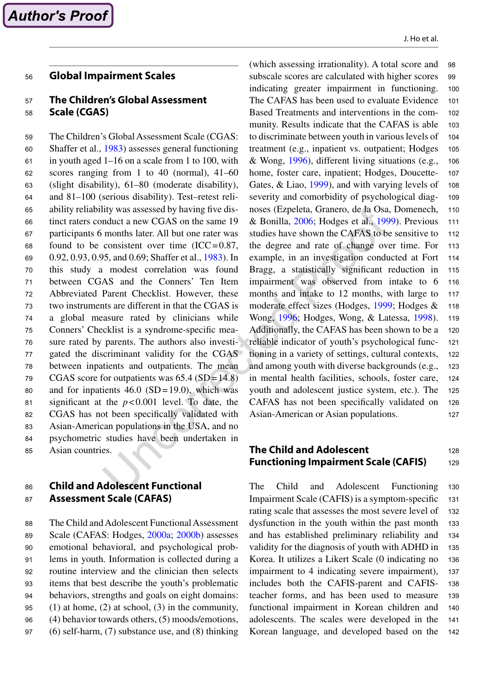#### **Global Impairment Scales** 56

#### **The Children's Global Assessment Scale (CGAS)** 57 58

The Children's Global Assessment Scale (CGAS: Shaffer et al., [1983](#page-24-1)) assesses general functioning in youth aged 1–16 on a scale from 1 to 100, with scores ranging from 1 to 40 (normal), 41–60 (slight disability), 61–80 (moderate disability), and 81–100 (serious disability). Test–retest reliability reliability was assessed by having five distinct raters conduct a new CGAS on the same 19 participants 6 months later. All but one rater was found to be consistent over time  $(ICC=0.87, ...)$ 0.92, 0.93, 0.95, and 0.69; Shaffer et al., [1983](#page-24-1)). In this study a modest correlation was found between CGAS and the Conners' Ten Item Abbreviated Parent Checklist. However, these two instruments are different in that the CGAS is a global measure rated by clinicians while Conners' Checklist is a syndrome-specific measure rated by parents. The authors also investigated the discriminant validity for the CGAS between inpatients and outpatients. The mean CGAS score for outpatients was  $65.4$  (SD=14.8) and for inpatients  $46.0$  (SD=19.0), which was significant at the  $p < 0.001$  level. To date, the CGAS has not been specifically validated with Asian-American populations in the USA, and no psychometric studies have been undertaken in Asian countries. 59 60 61 62 63 64 65 66 67 68 69 70 71 72 73 74 75 76 77 78 79 80 81 82 83 84 85

#### **Child and Adolescent Functional Assessment Scale (CAFAS)** 86 87

The Child and Adolescent Functional Assessment Scale (CAFAS: Hodges, [2000a;](#page-23-0) [2000b\)](#page-23-1) assesses emotional behavioral, and psychological problems in youth. Information is collected during a routine interview and the clinician then selects items that best describe the youth's problematic behaviors, strengths and goals on eight domains: (1) at home, (2) at school, (3) in the community, (4) behavior towards others, (5) moods/emotions, (6) self-harm, (7) substance use, and (8) thinking 88 89 90 91 92 93 94 95 96 97

(which assessing irrationality). A total score and subscale scores are calculated with higher scores indicating greater impairment in functioning. The CAFAS has been used to evaluate Evidence Based Treatments and interventions in the community. Results indicate that the CAFAS is able to discriminate between youth in various levels of treatment (e.g., inpatient vs. outpatient; Hodges & Wong, [1996](#page-23-2)), different living situations (e.g., home, foster care, inpatient; Hodges, Doucette-Gates, & Liao, [1999\)](#page-23-3), and with varying levels of severity and comorbidity of psychological diagnoses (Ezpeleta, Granero, de la Osa, Domenech, & Bonilla, [2006](#page-22-0); Hodges et al., [1999\)](#page-23-3). Previous studies have shown the CAFAS to be sensitive to the degree and rate of change over time. For example, in an investigation conducted at Fort Bragg, a statistically significant reduction in impairment was observed from intake to 6 months and intake to 12 months, with large to moderate effect sizes (Hodges, [1999](#page-23-4); Hodges & Wong, [1996;](#page-23-2) Hodges, Wong, & Latessa, [1998\)](#page-23-5). Additionally, the CAFAS has been shown to be a reliable indicator of youth's psychological functioning in a variety of settings, cultural contexts, and among youth with diverse backgrounds (e.g., in mental health facilities, schools, foster care, youth and adolescent justice system, etc.). The CAFAS has not been specifically validated on Asian-American or Asian populations. 98 99 100 101 102 103 104 105 106 107 108 109 110 111 112 113 114 115 116 117 118 119 120 121 122 123 124 125 126 127

#### **The Child and Adolescent Functioning Impairment Scale (CAFIS)** 128 129

The Child and Adolescent Functioning Impairment Scale (CAFIS) is a symptom-specific rating scale that assesses the most severe level of dysfunction in the youth within the past month and has established preliminary reliability and validity for the diagnosis of youth with ADHD in Korea. It utilizes a Likert Scale (0 indicating no impairment to 4 indicating severe impairment), includes both the CAFIS-parent and CAFISteacher forms, and has been used to measure functional impairment in Korean children and adolescents. The scales were developed in the Korean language, and developed based on the 130 131 132 133 134 135 136 137 138 139 140 141 142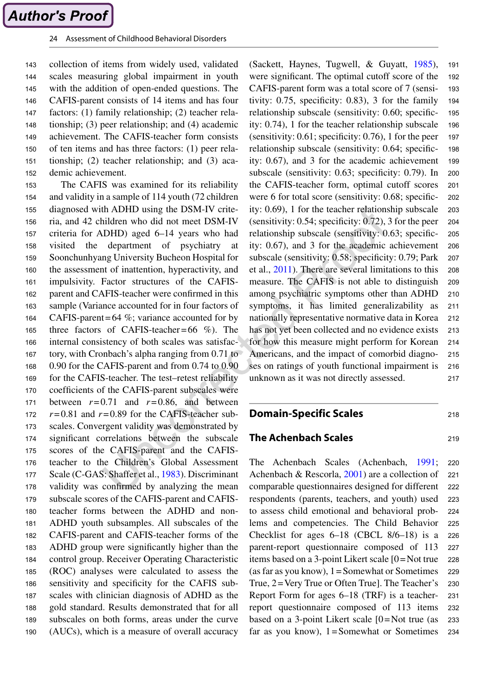collection of items from widely used, validated scales measuring global impairment in youth with the addition of open-ended questions. The CAFIS-parent consists of 14 items and has four factors: (1) family relationship; (2) teacher relationship; (3) peer relationship; and (4) academic achievement. The CAFIS-teacher form consists of ten items and has three factors: (1) peer relationship; (2) teacher relationship; and (3) academic achievement. 143 144 145 146 147 148 149 150 151 152

The CAFIS was examined for its reliability and validity in a sample of 114 youth (72 children diagnosed with ADHD using the DSM-IV criteria, and 42 children who did not meet DSM-IV criteria for ADHD) aged 6–14 years who had visited the department of psychiatry at Soonchunhyang University Bucheon Hospital for the assessment of inattention, hyperactivity, and impulsivity. Factor structures of the CAFISparent and CAFIS-teacher were confirmed in this sample (Variance accounted for in four factors of CAFIS-parent=64  $\%$ ; variance accounted for by three factors of CAFIS-teacher=66  $\%$ ). The internal consistency of both scales was satisfactory, with Cronbach's alpha ranging from 0.71 to 0.90 for the CAFIS-parent and from 0.74 to 0.90 for the CAFIS-teacher. The test–retest reliability coefficients of the CAFIS-parent subscales were between  $r=0.71$  and  $r=0.86$ , and between  $r=0.81$  and  $r=0.89$  for the CAFIS-teacher subscales. Convergent validity was demonstrated by significant correlations between the subscale scores of the CAFIS-parent and the CAFISteacher to the Children's Global Assessment Scale (C-GAS: Shaffer et al., [1983\)](#page-24-1). Discriminant validity was confirmed by analyzing the mean subscale scores of the CAFIS-parent and CAFISteacher forms between the ADHD and non-ADHD youth subsamples. All subscales of the CAFIS-parent and CAFIS-teacher forms of the ADHD group were significantly higher than the control group. Receiver Operating Characteristic (ROC) analyses were calculated to assess the sensitivity and specificity for the CAFIS subscales with clinician diagnosis of ADHD as the gold standard. Results demonstrated that for all subscales on both forms, areas under the curve (AUCs), which is a measure of overall accuracy 153 154 155 156 157 158 159 160 161 162 163 164 165 166 167 168 169 170 171 172 173 174 175 176 177 178 179 180 181 182 183 184 185 186 187 188 189 190

(Sackett, Haynes, Tugwell, & Guyatt, [1985\)](#page-24-2), were significant. The optimal cutoff score of the CAFIS-parent form was a total score of 7 (sensitivity: 0.75, specificity: 0.83), 3 for the family relationship subscale (sensitivity: 0.60; specificity: 0.74), 1 for the teacher relationship subscale (sensitivity: 0.61; specificity: 0.76), 1 for the peer relationship subscale (sensitivity: 0.64; specificity: 0.67), and 3 for the academic achievement subscale (sensitivity: 0.63; specificity: 0.79). In the CAFIS-teacher form, optimal cutoff scores were 6 for total score (sensitivity: 0.68; specificity: 0.69), 1 for the teacher relationship subscale (sensitivity: 0.54; specificity: 0.72), 3 for the peer relationship subscale (sensitivity: 0.63; specificity: 0.67), and 3 for the academic achievement subscale (sensitivity: 0.58; specificity: 0.79; Park et al., [2011\)](#page-24-0). There are several limitations to this measure. The CAFIS is not able to distinguish among psychiatric symptoms other than ADHD symptoms, it has limited generalizability as nationally representative normative data in Korea has not yet been collected and no evidence exists for how this measure might perform for Korean Americans, and the impact of comorbid diagnoses on ratings of youth functional impairment is unknown as it was not directly assessed. 191 192 193 194 195 196 197 198 199 200 201 202 203 204 205 206 207 208 209 210 211 212 213 214 215 216 217

## **Domain-Specific Scales**

## **The Achenbach Scales**

The Achenbach Scales (Achenbach, [1991;](#page-21-0) Achenbach & Rescorla, [2001\)](#page-21-1) are a collection of comparable questionnaires designed for different respondents (parents, teachers, and youth) used to assess child emotional and behavioral problems and competencies. The Child Behavior Checklist for ages 6–18 (CBCL 8/6–18) is a parent-report questionnaire composed of 113 items based on a 3-point Likert scale [0=Not true (as far as you know),  $1 =$ Somewhat or Sometimes True, 2=Very True or Often True]. The Teacher's Report Form for ages 6–18 (TRF) is a teacherreport questionnaire composed of 113 items based on a 3-point Likert scale [0=Not true (as far as you know), 1=Somewhat or Sometimes 220 221 222 223 224 225 226 227 228 229 230 231 232 233 234

218

219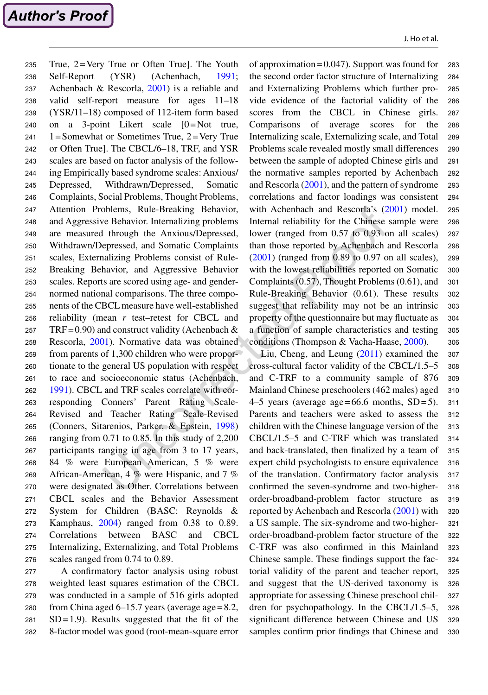Author's Proof

True, 2=Very True or Often True]. The Youth Self-Report (YSR) (Achenbach, [1991;](#page-21-0) Achenbach & Rescorla, [2001\)](#page-21-1) is a reliable and valid self-report measure for ages 11–18 (YSR/11–18) composed of 112-item form based on a 3-point Likert scale [0=Not true, 1=Somewhat or Sometimes True, 2=Very True or Often True]. The CBCL/6–18, TRF, and YSR scales are based on factor analysis of the following Empirically based syndrome scales: Anxious/ Depressed, Withdrawn/Depressed, Somatic Complaints, Social Problems, Thought Problems, Attention Problems, Rule-Breaking Behavior, and Aggressive Behavior. Internalizing problems are measured through the Anxious/Depressed, Withdrawn/Depressed, and Somatic Complaints scales, Externalizing Problems consist of Rule-Breaking Behavior, and Aggressive Behavior scales. Reports are scored using age- and gendernormed national comparisons. The three components of the CBCL measure have well-established reliability (mean *r* test–retest for CBCL and TRF=0.90) and construct validity (Achenbach  $\&$ Rescorla, [2001](#page-21-1)). Normative data was obtained from parents of 1,300 children who were proportionate to the general US population with respect to race and socioeconomic status (Achenbach, [1991](#page-21-0)). CBCL and TRF scales correlate with corresponding Conners' Parent Rating Scale-Revised and Teacher Rating Scale-Revised (Conners, Sitarenios, Parker, & Epstein, [1998](#page-22-1)) ranging from 0.71 to 0.85. In this study of 2,200 participants ranging in age from 3 to 17 years, 84 % were European American, 5 % were African-American, 4 % were Hispanic, and 7 % were designated as Other. Correlations between CBCL scales and the Behavior Assessment System for Children (BASC: Reynolds & Kamphaus, [2004](#page-24-3)) ranged from 0.38 to 0.89. Correlations between BASC and CBCL Internalizing, Externalizing, and Total Problems scales ranged from 0.74 to 0.89. 235 236 237 238 239 240 241 242 243 244 245 246 247 248 249 250 251 252 253 254 255 256 257 258 259 260 261 262 263 264 265 266 267 268 269 270 271 272 273 274 275 276

A confirmatory factor analysis using robust weighted least squares estimation of the CBCL was conducted in a sample of 516 girls adopted from China aged 6–15.7 years (average age=8.2,  $SD = 1.9$ ). Results suggested that the fit of the 8-factor model was good (root-mean-square error 277 278 279 280 281 282

of approximation=0.047). Support was found for the second order factor structure of Internalizing and Externalizing Problems which further provide evidence of the factorial validity of the scores from the CBCL in Chinese girls. Comparisons of average scores for the Internalizing scale, Externalizing scale, and Total Problems scale revealed mostly small differences between the sample of adopted Chinese girls and the normative samples reported by Achenbach and Rescorla ([2001\)](#page-21-1), and the pattern of syndrome correlations and factor loadings was consistent with Achenbach and Rescorla's [\(2001](#page-21-1)) model. Internal reliability for the Chinese sample were lower (ranged from 0.57 to 0.93 on all scales) than those reported by Achenbach and Rescorla  $(2001)$  $(2001)$  (ranged from 0.89 to 0.97 on all scales), with the lowest reliabilities reported on Somatic Complaints (0.57), Thought Problems (0.61), and Rule-Breaking Behavior (0.61). These results suggest that reliability may not be an intrinsic property of the questionnaire but may fluctuate as a function of sample characteristics and testing conditions (Thompson & Vacha-Haase, [2000](#page-25-0)). 283 284 285 286 287 288 289 290 291 292 293 294 295 296 297 298 299 300 301 302 303 304 305 306

Liu, Cheng, and Leung [\(2011](#page-23-6)) examined the cross-cultural factor validity of the CBCL/1.5–5 and C-TRF to a community sample of 876 Mainland Chinese preschoolers (462 males) aged 4–5 years (average age=66.6 months,  $SD=5$ ). Parents and teachers were asked to assess the children with the Chinese language version of the CBCL/1.5–5 and C-TRF which was translated and back-translated, then finalized by a team of expert child psychologists to ensure equivalence of the translation. Confirmatory factor analysis confirmed the seven-syndrome and two-higherorder-broadband-problem factor structure as reported by Achenbach and Rescorla [\(2001](#page-21-1)) with a US sample. The six-syndrome and two-higherorder-broadband-problem factor structure of the C-TRF was also confirmed in this Mainland Chinese sample. These findings support the factorial validity of the parent and teacher report, and suggest that the US-derived taxonomy is appropriate for assessing Chinese preschool children for psychopathology. In the CBCL/1.5–5, significant difference between Chinese and US samples confirm prior findings that Chinese and 307 308 309 310 311 312 313 314 315 316 317 318 319 320 321 322 323 324 325 326 327 328 329 330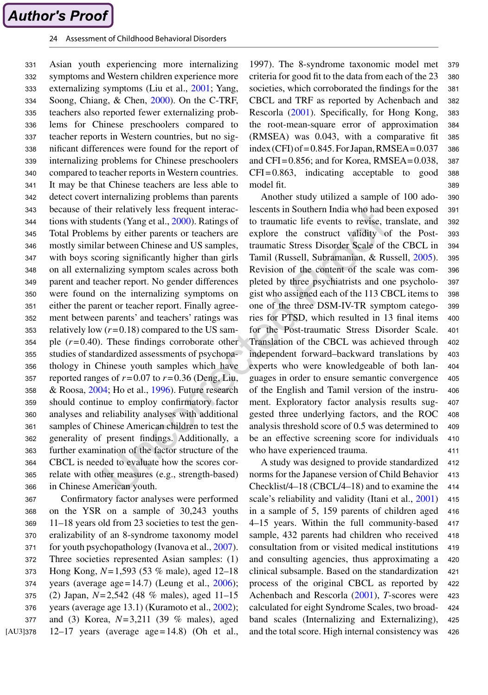Asian youth experiencing more internalizing symptoms and Western children experience more externalizing symptoms (Liu et al., [2001;](#page-24-4) Yang, Soong, Chiang, & Chen, [2000\)](#page-25-1). On the C-TRF, teachers also reported fewer externalizing problems for Chinese preschoolers compared to teacher reports in Western countries, but no significant differences were found for the report of internalizing problems for Chinese preschoolers compared to teacher reports in Western countries. It may be that Chinese teachers are less able to detect covert internalizing problems than parents because of their relatively less frequent interactions with students (Yang et al., [2000\)](#page-25-1). Ratings of Total Problems by either parents or teachers are mostly similar between Chinese and US samples, with boys scoring significantly higher than girls on all externalizing symptom scales across both parent and teacher report. No gender differences were found on the internalizing symptoms on either the parent or teacher report. Finally agreement between parents' and teachers' ratings was relatively low  $(r=0.18)$  compared to the US sample (*r*=0.40). These findings corroborate other studies of standardized assessments of psychopathology in Chinese youth samples which have reported ranges of  $r = 0.07$  to  $r = 0.36$  (Deng, Liu, & Roosa, [2004](#page-22-2); Ho et al., [1996](#page-23-7)). Future research should continue to employ confirmatory factor analyses and reliability analyses with additional samples of Chinese American children to test the generality of present findings. Additionally, a further examination of the factor structure of the CBCL is needed to evaluate how the scores correlate with other measures (e.g., strength-based) in Chinese American youth. 331 332 333 334 335 336 337 338 339 340 341 342 343 344 345 346 347 348 349 350 351 352 353 354 355 356 357 358 359 360 361 362 363 364 365 366

Confirmatory factor analyses were performed on the YSR on a sample of 30,243 youths 11–18 years old from 23 societies to test the generalizability of an 8-syndrome taxonomy model for youth psychopathology (Ivanova et al., [2007\)](#page-23-8). Three societies represented Asian samples: (1) Hong Kong, *N*=1,593 (53 % male), aged 12–18 years (average age=14.7) (Leung et al., [2006\)](#page-23-9); (2) Japan, *N*=2,542 (48 % males), aged 11–15 years (average age 13.1) (Kuramoto et al., [2002\)](#page-23-10); and (3) Korea, *N*=3,211 (39 % males), aged 12–17 years (average age=14.8) (Oh et al., 367 368 369 370 371 372 373 374 375 376 377 [AU3]378

1997). The 8-syndrome taxonomic model met criteria for good fit to the data from each of the 23 societies, which corroborated the findings for the CBCL and TRF as reported by Achenbach and Rescorla [\(2001](#page-21-1)). Specifically, for Hong Kong, the root-mean-square error of approximation (RMSEA) was 0.043, with a comparative fit index (CFI) of=0.845. For Japan, RMSEA=0.037 and CFI=0.856; and for Korea, RMSEA=0.038, CFI=0.863, indicating acceptable to good model fit. 379 380 381 382 383 384 385 386 387 388 389

Another study utilized a sample of 100 adolescents in Southern India who had been exposed to traumatic life events to revise, translate, and explore the construct validity of the Posttraumatic Stress Disorder Scale of the CBCL in Tamil (Russell, Subramanian, & Russell, [2005\)](#page-24-5). Revision of the content of the scale was completed by three psychiatrists and one psychologist who assigned each of the 113 CBCL items to one of the three DSM-IV-TR symptom categories for PTSD, which resulted in 13 final items for the Post-traumatic Stress Disorder Scale. Translation of the CBCL was achieved through independent forward–backward translations by experts who were knowledgeable of both languages in order to ensure semantic convergence of the English and Tamil version of the instrument. Exploratory factor analysis results suggested three underlying factors, and the ROC analysis threshold score of 0.5 was determined to be an effective screening score for individuals who have experienced trauma. 390 391 392 393 394 395 396 397 398 399 400 401 402 403 404 405 406 407 408 409 410 411

A study was designed to provide standardized norms for the Japanese version of Child Behavior Checklist/4–18 (CBCL/4–18) and to examine the scale's reliability and validity (Itani et al., [2001](#page-23-11)) in a sample of 5, 159 parents of children aged 4–15 years. Within the full community-based sample, 432 parents had children who received consultation from or visited medical institutions and consulting agencies, thus approximating a clinical subsample. Based on the standardization process of the original CBCL as reported by Achenbach and Rescorla ([2001\)](#page-21-1), *T*-scores were calculated for eight Syndrome Scales, two broadband scales (Internalizing and Externalizing), and the total score. High internal consistency was 412 413 414 415 416 417 418 419 420 421 422 423 424 425 426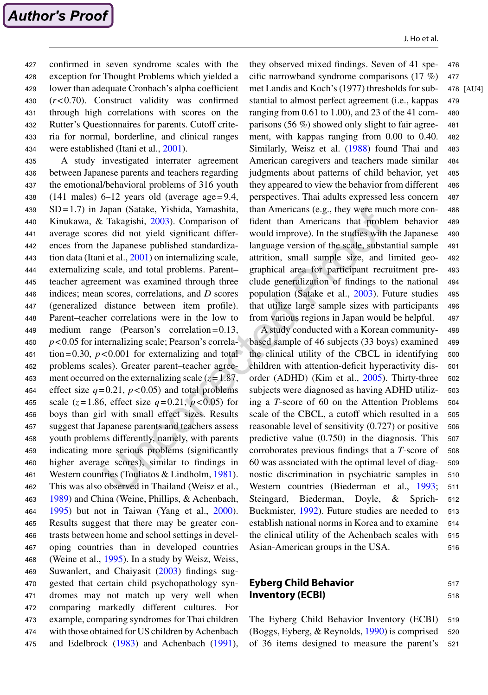confirmed in seven syndrome scales with the exception for Thought Problems which yielded a lower than adequate Cronbach's alpha coefficient (*r*<0.70). Construct validity was confirmed through high correlations with scores on the Rutter's Questionnaires for parents. Cutoff criteria for normal, borderline, and clinical ranges were established (Itani et al., [2001](#page-23-11)). 427 428 429 430 431 432 433 434

A study investigated interrater agreement between Japanese parents and teachers regarding the emotional/behavioral problems of 316 youth (141 males) 6–12 years old (average age=9.4, SD=1.7) in Japan (Satake, Yishida, Yamashita, Kinukawa, & Takagishi, [2003\)](#page-24-6). Comparison of average scores did not yield significant differences from the Japanese published standardization data (Itani et al., [2001](#page-23-11)) on internalizing scale, externalizing scale, and total problems. Parent– teacher agreement was examined through three indices; mean scores, correlations, and *D* scores (generalized distance between item profile). Parent–teacher correlations were in the low to medium range (Pearson's correlation=0.13, *p*<0.05 for internalizing scale; Pearson's correlation=0.30,  $p < 0.001$  for externalizing and total problems scales). Greater parent–teacher agreement occurred on the externalizing scale  $(z=1.87)$ , effect size  $q=0.21$ ,  $p<0.05$ ) and total problems scale ( $z = 1.86$ , effect size  $q = 0.21$ ,  $p < 0.05$ ) for boys than girl with small effect sizes. Results suggest that Japanese parents and teachers assess youth problems differently, namely, with parents indicating more serious problems (significantly higher average scores), similar to findings in Western countries (Touliatos & Lindholm, [1981\)](#page-25-2). This was also observed in Thailand (Weisz et al., [1989](#page-25-3)) and China (Weine, Phillips, & Achenbach, [1995](#page-25-4)) but not in Taiwan (Yang et al., [2000\)](#page-25-1). Results suggest that there may be greater contrasts between home and school settings in developing countries than in developed countries (Weine et al., [1995](#page-25-4)). In a study by Weisz, Weiss, Suwanlert, and Chaiyasit [\(2003](#page-25-5)) findings suggested that certain child psychopathology syndromes may not match up very well when comparing markedly different cultures. For example, comparing syndromes for Thai children with those obtained for US children by Achenbach and Edelbrock [\(1983](#page-21-2)) and Achenbach ([1991\)](#page-21-0), 435 436 437 438 439 440 441 442 443 444 445 446 447 448 449 450 451 452 453 454 455 456 457 458 459 460 461 462 463 464 465 466 467 468 469 470 471 472 473 474 475

they observed mixed findings. Seven of 41 specific narrowband syndrome comparisons (17 %) met Landis and Koch's (1977) thresholds for substantial to almost perfect agreement (i.e., kappas ranging from 0.61 to 1.00), and 23 of the 41 comparisons (56 %) showed only slight to fair agreement, with kappas ranging from 0.00 to 0.40. Similarly, Weisz et al. [\(1988](#page-25-6)) found Thai and American caregivers and teachers made similar judgments about patterns of child behavior, yet they appeared to view the behavior from different perspectives. Thai adults expressed less concern than Americans (e.g., they were much more confident than Americans that problem behavior would improve). In the studies with the Japanese language version of the scale, substantial sample attrition, small sample size, and limited geographical area for participant recruitment preclude generalization of findings to the national population (Satake et al., [2003\)](#page-24-6). Future studies that utilize large sample sizes with participants from various regions in Japan would be helpful. [AU4] 478 476 477 479 480 481 482 483 484 485 486 487 488 489 490 491 492 493 494 495 496 497

A study conducted with a Korean communitybased sample of 46 subjects (33 boys) examined the clinical utility of the CBCL in identifying children with attention-deficit hyperactivity disorder (ADHD) (Kim et al., [2005\)](#page-23-12). Thirty-three subjects were diagnosed as having ADHD utilizing a *T*-score of 60 on the Attention Problems scale of the CBCL, a cutoff which resulted in a reasonable level of sensitivity (0.727) or positive predictive value (0.750) in the diagnosis. This corroborates previous findings that a *T*-score of 60 was associated with the optimal level of diagnostic discrimination in psychiatric samples in Western countries (Biederman et al., [1993;](#page-21-3) Steingard, Biederman, Doyle, & Sprich-Buckmister, [1992](#page-24-7)). Future studies are needed to establish national norms in Korea and to examine the clinical utility of the Achenbach scales with Asian-American groups in the USA. 498 499 500 501 502 503 504 505 506 507 508 509 510 511 512 513 514 515 516

#### **Eyberg Child Behavior Inventory (ECBI)** 517 518

The Eyberg Child Behavior Inventory (ECBI) (Boggs, Eyberg, & Reynolds, [1990](#page-22-3)) is comprised of 36 items designed to measure the parent's 519 520 521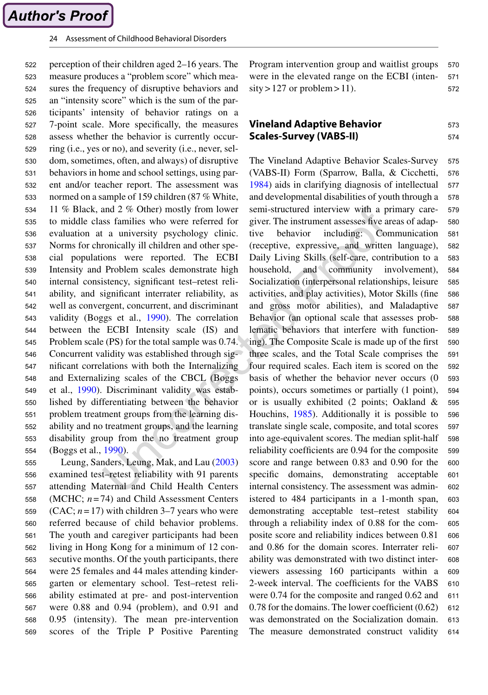perception of their children aged 2–16 years. The measure produces a "problem score" which measures the frequency of disruptive behaviors and an "intensity score" which is the sum of the participants' intensity of behavior ratings on a 7-point scale. More specifically, the measures assess whether the behavior is currently occurring (i.e., yes or no), and severity (i.e., never, seldom, sometimes, often, and always) of disruptive behaviors in home and school settings, using parent and/or teacher report. The assessment was normed on a sample of 159 children (87 % White, 11 % Black, and 2 % Other) mostly from lower to middle class families who were referred for evaluation at a university psychology clinic. Norms for chronically ill children and other special populations were reported. The ECBI Intensity and Problem scales demonstrate high internal consistency, significant test–retest reliability, and significant interrater reliability, as well as convergent, concurrent, and discriminant validity (Boggs et al., [1990](#page-22-3)). The correlation between the ECBI Intensity scale (IS) and Problem scale (PS) for the total sample was 0.74. Concurrent validity was established through significant correlations with both the Internalizing and Externalizing scales of the CBCL (Boggs et al., [1990\)](#page-22-3). Discriminant validity was established by differentiating between the behavior problem treatment groups from the learning disability and no treatment groups, and the learning disability group from the no treatment group (Boggs et al., [1990](#page-22-3)). 522 523 524 525 526 527 528 529 530 531 532 533 534 535 536 537 538 539 540 541 542 543 544 545 546 547 548 549 550 551 552 553 554

Leung, Sanders, Leung, Mak, and Lau ([2003](#page-23-13)) examined test–retest reliability with 91 parents attending Maternal and Child Health Centers (MCHC; *n* = 74) and Child Assessment Centers (CAC;  $n = 17$ ) with children 3–7 years who were referred because of child behavior problems. The youth and caregiver participants had been living in Hong Kong for a minimum of 12 consecutive months. Of the youth participants, there were 25 females and 44 males attending kindergarten or elementary school. Test–retest reliability estimated at pre- and post-intervention were 0.88 and 0.94 (problem), and 0.91 and 0.95 (intensity). The mean pre-intervention scores of the Triple P Positive Parenting 555 556 557 558 559 560 561 562 563 564 565 566 567 568 569

Program intervention group and waitlist groups were in the elevated range on the ECBI (inten $sity > 127$  or problem  $> 11$ ). 570 571 572

#### **Vineland Adaptive Behavior Scales-Survey (VABS-II)** 573 574

The Vineland Adaptive Behavior Scales-Survey (VABS-II) Form (Sparrow, Balla, & Cicchetti, [1984\)](#page-24-8) aids in clarifying diagnosis of intellectual and developmental disabilities of youth through a semi-structured interview with a primary caregiver. The instrument assesses five areas of adaptive behavior including: Communication (receptive, expressive, and written language), Daily Living Skills (self-care, contribution to a household, and community involvement), Socialization (interpersonal relationships, leisure activities, and play activities), Motor Skills (fine and gross motor abilities), and Maladaptive Behavior (an optional scale that assesses problematic behaviors that interfere with functioning). The Composite Scale is made up of the first three scales, and the Total Scale comprises the four required scales. Each item is scored on the basis of whether the behavior never occurs (0 points), occurs sometimes or partially (1 point), or is usually exhibited (2 points; Oakland & Houchins, [1985](#page-24-9)). Additionally it is possible to translate single scale, composite, and total scores into age-equivalent scores. The median split-half reliability coefficients are 0.94 for the composite score and range between 0.83 and 0.90 for the specific domains, demonstrating acceptable internal consistency. The assessment was administered to 484 participants in a 1-month span, demonstrating acceptable test–retest stability through a reliability index of 0.88 for the composite score and reliability indices between 0.81 and 0.86 for the domain scores. Interrater reliability was demonstrated with two distinct interviewers assessing 160 participants within a 2-week interval. The coefficients for the VABS were 0.74 for the composite and ranged 0.62 and 0.78 for the domains. The lower coefficient (0.62) was demonstrated on the Socialization domain. The measure demonstrated construct validity 575 576 577 578 579 580 581 582 583 584 585 586 587 588 589 590 591 592 593 594 595 596 597 598 599 600 601 602 603 604 605 606 607 608 609 610 611 612 613 614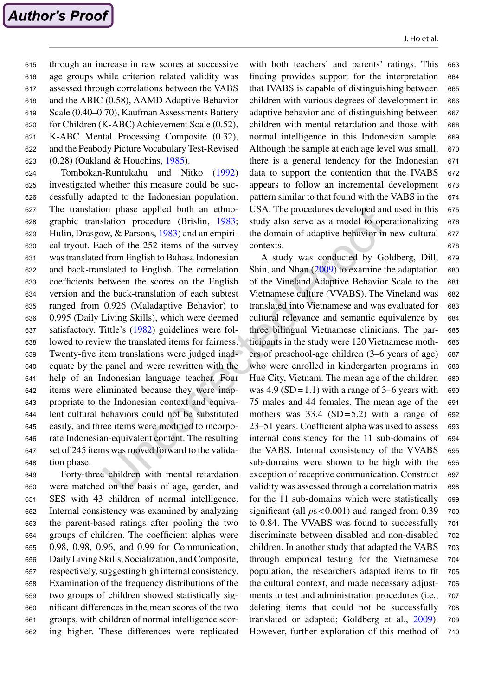through an increase in raw scores at successive age groups while criterion related validity was assessed through correlations between the VABS and the ABIC (0.58), AAMD Adaptive Behavior Scale (0.40–0.70), Kaufman Assessments Battery for Children (K-ABC) Achievement Scale (0.52), K-ABC Mental Processing Composite (0.32), and the Peabody Picture Vocabulary Test-Revised 615 616 617 618 619 620 621 622

(0.28) (Oakland & Houchins, [1985](#page-24-9)). 623

Tombokan-Runtukahu and Nitko [\(1992](#page-25-7)) investigated whether this measure could be successfully adapted to the Indonesian population. The translation phase applied both an ethnographic translation procedure (Brislin, [1983;](#page-22-4) Hulin, Drasgow, & Parsons, [1983\)](#page-23-14) and an empirical tryout. Each of the 252 items of the survey was translated from English to Bahasa Indonesian and back-translated to English. The correlation coefficients between the scores on the English version and the back-translation of each subtest ranged from 0.926 (Maladaptive Behavior) to 0.995 (Daily Living Skills), which were deemed satisfactory. Tittle's [\(1982](#page-25-8)) guidelines were followed to review the translated items for fairness. Twenty-five item translations were judged inadequate by the panel and were rewritten with the help of an Indonesian language teacher. Four items were eliminated because they were inappropriate to the Indonesian context and equivalent cultural behaviors could not be substituted easily, and three items were modified to incorporate Indonesian-equivalent content. The resulting set of 245 items was moved forward to the validation phase. 624 625 626 627 628 629 630 631 632 633 634 635 636 637 638 639 640 641 642 643 644 645 646 647 648

Forty-three children with mental retardation were matched on the basis of age, gender, and SES with 43 children of normal intelligence. Internal consistency was examined by analyzing the parent-based ratings after pooling the two groups of children. The coefficient alphas were 0.98, 0.98, 0.96, and 0.99 for Communication, Daily Living Skills, Socialization, and Composite, respectively, suggesting high internal consistency. Examination of the frequency distributions of the two groups of children showed statistically significant differences in the mean scores of the two groups, with children of normal intelligence scoring higher. These differences were replicated 649 650 651 652 653 654 655 656 657 658 659 660 661 662

with both teachers' and parents' ratings. This finding provides support for the interpretation that IVABS is capable of distinguishing between children with various degrees of development in adaptive behavior and of distinguishing between children with mental retardation and those with normal intelligence in this Indonesian sample. Although the sample at each age level was small, there is a general tendency for the Indonesian data to support the contention that the IVABS appears to follow an incremental development pattern similar to that found with the VABS in the USA. The procedures developed and used in this study also serve as a model to operationalizing the domain of adaptive behavior in new cultural contexts. 663 664 665 666 667 668 669 670 671 672 673 674 675 676 677 678

A study was conducted by Goldberg, Dill, Shin, and Nhan [\(2009](#page-22-5)) to examine the adaptation of the Vineland Adaptive Behavior Scale to the Vietnamese culture (VVABS). The Vineland was translated into Vietnamese and was evaluated for cultural relevance and semantic equivalence by three bilingual Vietnamese clinicians. The participants in the study were 120 Vietnamese mothers of preschool-age children (3–6 years of age) who were enrolled in kindergarten programs in Hue City, Vietnam. The mean age of the children was  $4.9$  (SD = 1.1) with a range of 3–6 years with 75 males and 44 females. The mean age of the mothers was  $33.4$  (SD=5.2) with a range of 23–51 years. Coefficient alpha was used to assess internal consistency for the 11 sub-domains of the VABS. Internal consistency of the VVABS sub-domains were shown to be high with the exception of receptive communication. Construct validity was assessed through a correlation matrix for the 11 sub-domains which were statistically significant (all *p*s<0.001) and ranged from 0.39 to 0.84. The VVABS was found to successfully discriminate between disabled and non-disabled children. In another study that adapted the VABS through empirical testing for the Vietnamese population, the researchers adapted items to fit the cultural context, and made necessary adjustments to test and administration procedures (i.e., deleting items that could not be successfully translated or adapted; Goldberg et al., [2009\)](#page-22-5). However, further exploration of this method of 679 680 681 682 683 684 685 686 687 688 689 690 691 692 693 694 695 696 697 698 699 700 701 702 703 704 705 706 707 708 709 710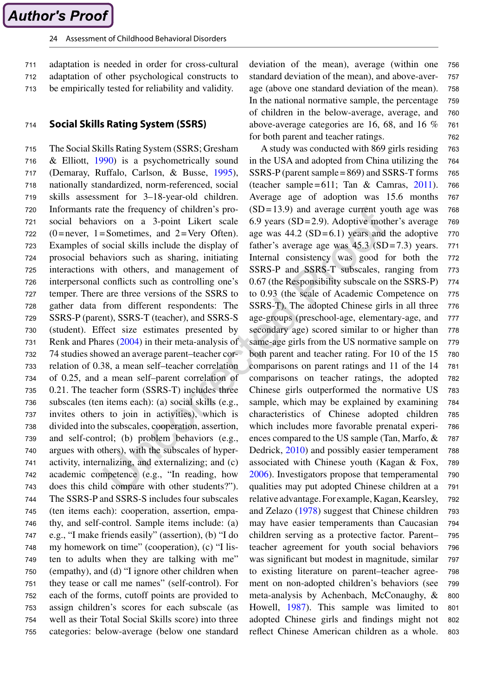- adaptation is needed in order for cross-cultural 711
- adaptation of other psychological constructs to 712
- be empirically tested for reliability and validity. 713

#### **Social Skills Rating System (SSRS)** 714

The Social Skills Rating System (SSRS; Gresham  $&$  Elliott, [1990](#page-22-6)) is a psychometrically sound (Demaray, Ruffalo, Carlson, & Busse, [1995\)](#page-22-7), nationally standardized, norm-referenced, social skills assessment for 3–18-year-old children. Informants rate the frequency of children's prosocial behaviors on a 3-point Likert scale  $(0=$ never, 1 = Sometimes, and 2 = Very Often). Examples of social skills include the display of prosocial behaviors such as sharing, initiating interactions with others, and management of interpersonal conflicts such as controlling one's temper. There are three versions of the SSRS to gather data from different respondents: The SSRS-P (parent), SSRS-T (teacher), and SSRS-S (student). Effect size estimates presented by Renk and Phares ([2004\)](#page-24-10) in their meta-analysis of 74 studies showed an average parent–teacher correlation of 0.38, a mean self–teacher correlation of 0.25, and a mean self–parent correlation of 0.21. The teacher form (SSRS-T) includes three subscales (ten items each): (a) social skills (e.g., invites others to join in activities), which is divided into the subscales, cooperation, assertion, and self-control; (b) problem behaviors (e.g., argues with others), with the subscales of hyperactivity, internalizing, and externalizing; and (c) academic competence (e.g., "In reading, how does this child compare with other students?"). The SSRS-P and SSRS-S includes four subscales (ten items each): cooperation, assertion, empathy, and self-control. Sample items include: (a) e.g., "I make friends easily" (assertion), (b) "I do my homework on time" (cooperation), (c) "I listen to adults when they are talking with me" (empathy), and (d) "I ignore other children when they tease or call me names" (self-control). For each of the forms, cutoff points are provided to assign children's scores for each subscale (as well as their Total Social Skills score) into three categories: below-average (below one standard 715 716 717 718 719 720 721 722 723 724 725 726 727 728 729 730 731 732 733 734 735 736 737 738 739 740 741 742 743 744 745 746 747 748 749 750 751 752 753 754 755

deviation of the mean), average (within one standard deviation of the mean), and above-average (above one standard deviation of the mean). In the national normative sample, the percentage of children in the below-average, average, and above-average categories are 16, 68, and 16 % for both parent and teacher ratings. 756 757 758 759 760 761 762

A study was conducted with 869 girls residing in the USA and adopted from China utilizing the SSRS-P (parent sample=869) and SSRS-T forms (teacher sample=611; Tan & Camras, [2011\)](#page-24-11). Average age of adoption was 15.6 months (SD=13.9) and average current youth age was 6.9 years (SD=2.9). Adoptive mother's average age was  $44.2$  (SD=6.1) years and the adoptive father's average age was  $45.3$  (SD=7.3) years. Internal consistency was good for both the SSRS-P and SSRS-T subscales, ranging from 0.67 (the Responsibility subscale on the SSRS-P) to 0.93 (the scale of Academic Competence on SSRS-T). The adopted Chinese girls in all three age-groups (preschool-age, elementary-age, and secondary age) scored similar to or higher than same-age girls from the US normative sample on both parent and teacher rating. For 10 of the 15 comparisons on parent ratings and 11 of the 14 comparisons on teacher ratings, the adopted Chinese girls outperformed the normative US sample, which may be explained by examining characteristics of Chinese adopted children which includes more favorable prenatal experiences compared to the US sample (Tan, Marfo, & Dedrick, [2010\)](#page-25-9) and possibly easier temperament associated with Chinese youth (Kagan & Fox, [2006\)](#page-23-15). Investigators propose that temperamental qualities may put adopted Chinese children at a relative advantage. For example, Kagan, Kearsley, and Zelazo ([1978\)](#page-23-16) suggest that Chinese children may have easier temperaments than Caucasian children serving as a protective factor. Parent– teacher agreement for youth social behaviors was significant but modest in magnitude, similar to existing literature on parent–teacher agreement on non-adopted children's behaviors (see meta-analysis by Achenbach, McConaughy, & Howell, [1987\)](#page-21-4). This sample was limited to adopted Chinese girls and findings might not reflect Chinese American children as a whole. 763 764 765 766 767 768 769 770 771 772 773 774 775 776 777 778 779 780 781 782 783 784 785 786 787 788 789 790 791 792 793 794 795 796 797 798 799 800 801 802 803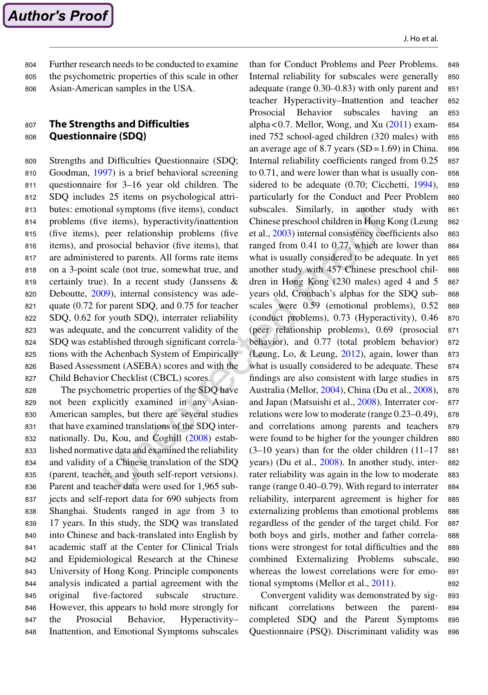Author's Proof

- Further research needs to be conducted to examine 804
- the psychometric properties of this scale in other 805
- Asian-American samples in the USA. 806

#### **The Strengths and Difficulties Questionnaire (SDQ)** 807 808

Strengths and Difficulties Questionnaire (SDQ; Goodman, [1997](#page-22-8)) is a brief behavioral screening questionnaire for 3–16 year old children. The SDQ includes 25 items on psychological attributes: emotional symptoms (five items), conduct problems (five items), hyperactivity/inattention (five items), peer relationship problems (five items), and prosocial behavior (five items), that are administered to parents. All forms rate items on a 3-point scale (not true, somewhat true, and certainly true). In a recent study (Janssens & Deboutte, [2009](#page-23-17)), internal consistency was adequate (0.72 for parent SDQ, and 0.75 for teacher SDQ, 0.62 for youth SDQ), interrater reliability was adequate, and the concurrent validity of the SDQ was established through significant correlations with the Achenbach System of Empirically Based Assessment (ASEBA) scores and with the Child Behavior Checklist (CBCL) scores. 809 810 811 812 813 814 815 816 817 818 819 820 821 822 823 824 825 826 827

The psychometric properties of the SDQ have not been explicitly examined in any Asian-American samples, but there are several studies that have examined translations of the SDQ internationally. Du, Kou, and Coghill [\(2008](#page-22-9)) established normative data and examined the reliability and validity of a Chinese translation of the SDQ (parent, teacher, and youth self-report versions). Parent and teacher data were used for 1,965 subjects and self-report data for 690 subjects from Shanghai. Students ranged in age from 3 to 17 years. In this study, the SDQ was translated into Chinese and back-translated into English by academic staff at the Center for Clinical Trials and Epidemiological Research at the Chinese University of Hong Kong. Principle components analysis indicated a partial agreement with the original five-factored subscale structure. However, this appears to hold more strongly for the Prosocial Behavior, Hyperactivity– Inattention, and Emotional Symptoms subscales 828 829 830 831 832 833 834 835 836 837 838 839 840 841 842 843 844 845 846 847 848

than for Conduct Problems and Peer Problems. Internal reliability for subscales were generally adequate (range 0.30–0.83) with only parent and teacher Hyperactivity–Inattention and teacher Prosocial Behavior subscales having an alpha $< 0.7$ . Mellor, Wong, and Xu  $(2011)$  $(2011)$  $(2011)$  examined 752 school-aged children (320 males) with an average age of 8.7 years  $(SD=1.69)$  in China. Internal reliability coefficients ranged from 0.25 to 0.71, and were lower than what is usually con-sidered to be adequate (0.70; Cicchetti, [1994\)](#page-22-10), particularly for the Conduct and Peer Problem subscales. Similarly, in another study with Chinese preschool children in Hong Kong (Leung et al., [2003\)](#page-23-13) internal consistency coefficients also ranged from 0.41 to 0.77, which are lower than what is usually considered to be adequate. In yet another study with 457 Chinese preschool children in Hong Kong (230 males) aged 4 and 5 years old, Cronbach's alphas for the SDQ subscales were 0.59 (emotional problems), 0.52 (conduct problems), 0.73 (Hyperactivity), 0.46 (peer relationship problems), 0.69 (prosocial behavior), and 0.77 (total problem behavior) (Leung, Lo, & Leung, [2012\)](#page-23-18), again, lower than what is usually considered to be adequate. These findings are also consistent with large studies in Australia (Mellor, [2004\)](#page-24-13), China (Du et al., [2008\)](#page-22-9), and Japan (Matsuishi et al., [2008\)](#page-24-14). Interrater correlations were low to moderate (range 0.23–0.49), and correlations among parents and teachers were found to be higher for the younger children (3–10 years) than for the older children (11–17 years) (Du et al., [2008\)](#page-22-9). In another study, interrater reliability was again in the low to moderate range (range 0.40–0.79). With regard to interrater reliability, interparent agreement is higher for externalizing problems than emotional problems regardless of the gender of the target child. For both boys and girls, mother and father correlations were strongest for total difficulties and the combined Externalizing Problems subscale, whereas the lowest correlations were for emotional symptoms (Mellor et al., [2011\)](#page-24-12). 849 850 851 852 853 854 855 856 857 858 859 860 861 862 863 864 865 866 867 868 869 870 871 872 873 874 875 876 877 878 879 880 881 882 883 884 885 886 887 888 889 890 891 892

Convergent validity was demonstrated by significant correlations between the parentcompleted SDQ and the Parent Symptoms Questionnaire (PSQ). Discriminant validity was 893 894 895 896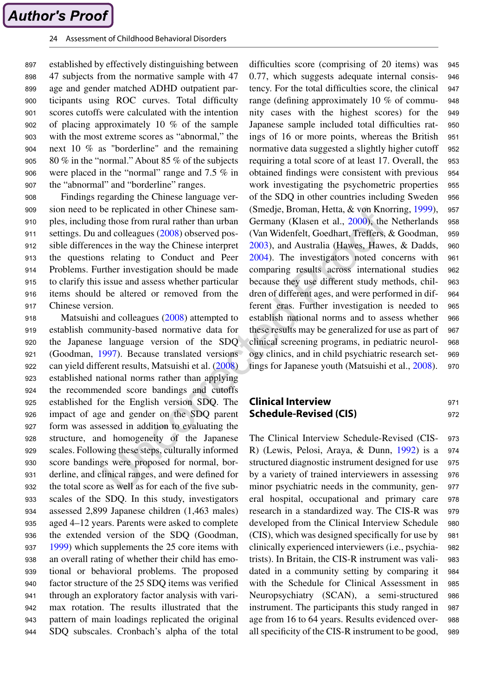established by effectively distinguishing between 47 subjects from the normative sample with 47 age and gender matched ADHD outpatient participants using ROC curves. Total difficulty scores cutoffs were calculated with the intention of placing approximately 10 % of the sample with the most extreme scores as "abnormal," the next 10 % as "borderline" and the remaining 80 % in the "normal." About 85 % of the subjects were placed in the "normal" range and 7.5 % in the "abnormal" and "borderline" ranges. 897 898 899 900 901 902 903 904 905 906 907

Findings regarding the Chinese language version need to be replicated in other Chinese samples, including those from rural rather than urban settings. Du and colleagues [\(2008](#page-22-9)) observed possible differences in the way the Chinese interpret the questions relating to Conduct and Peer Problems. Further investigation should be made to clarify this issue and assess whether particular items should be altered or removed from the Chinese version. 908 909 910 911 912 913 914 915 916 917

Matsuishi and colleagues ([2008\)](#page-24-14) attempted to establish community-based normative data for the Japanese language version of the SDQ (Goodman, [1997](#page-22-8)). Because translated versions can yield different results, Matsuishi et al. [\(2008](#page-24-14)) established national norms rather than applying the recommended score bandings and cutoffs established for the English version SDQ. The impact of age and gender on the SDQ parent form was assessed in addition to evaluating the structure, and homogeneity of the Japanese scales. Following these steps, culturally informed score bandings were proposed for normal, borderline, and clinical ranges, and were defined for the total score as well as for each of the five subscales of the SDQ. In this study, investigators assessed 2,899 Japanese children (1,463 males) aged 4–12 years. Parents were asked to complete the extended version of the SDQ (Goodman, [1999](#page-22-11)) which supplements the 25 core items with an overall rating of whether their child has emotional or behavioral problems. The proposed factor structure of the 25 SDQ items was verified through an exploratory factor analysis with varimax rotation. The results illustrated that the pattern of main loadings replicated the original SDQ subscales. Cronbach's alpha of the total 918 919 920 921 922 923 924 925 926 927 928 929 930 931 932 933 934 935 936 937 938 939 940 941 942 943 944

difficulties score (comprising of 20 items) was 0.77, which suggests adequate internal consistency. For the total difficulties score, the clinical range (defining approximately 10 % of community cases with the highest scores) for the Japanese sample included total difficulties ratings of 16 or more points, whereas the British normative data suggested a slightly higher cutoff requiring a total score of at least 17. Overall, the obtained findings were consistent with previous work investigating the psychometric properties of the SDQ in other countries including Sweden (Smedje, Broman, Hetta, & von Knorring, [1999\)](#page-24-15), Germany (Klasen et al., [2000](#page-23-19)), the Netherlands (Van Widenfelt, Goedhart, Treffers, & Goodman, [2003\)](#page-25-10), and Australia (Hawes, Hawes, & Dadds, [2004\)](#page-22-12). The investigators noted concerns with comparing results across international studies because they use different study methods, children of different ages, and were performed in different eras. Further investigation is needed to establish national norms and to assess whether these results may be generalized for use as part of clinical screening programs, in pediatric neurology clinics, and in child psychiatric research settings for Japanese youth (Matsuishi et al., [2008](#page-24-14)). 945 946 947 948 949 950 951 952 953 954 955 956 957 958 959 960 961 962 963 964 965 966 967 968 969 970

#### **Clinical Interview Schedule-Revised (CIS)** 971 972

The Clinical Interview Schedule-Revised (CIS-R) (Lewis, Pelosi, Araya, & Dunn, [1992](#page-23-20)) is a structured diagnostic instrument designed for use by a variety of trained interviewers in assessing minor psychiatric needs in the community, general hospital, occupational and primary care research in a standardized way. The CIS-R was developed from the Clinical Interview Schedule (CIS), which was designed specifically for use by clinically experienced interviewers (i.e., psychiatrists). In Britain, the CIS-R instrument was validated in a community setting by comparing it with the Schedule for Clinical Assessment in Neuropsychiatry (SCAN), a semi-structured instrument. The participants this study ranged in age from 16 to 64 years. Results evidenced overall specificity of the CIS-R instrument to be good, 973 974 975 976 977 978 979 980 981 982 983 984 985 986 987 988 989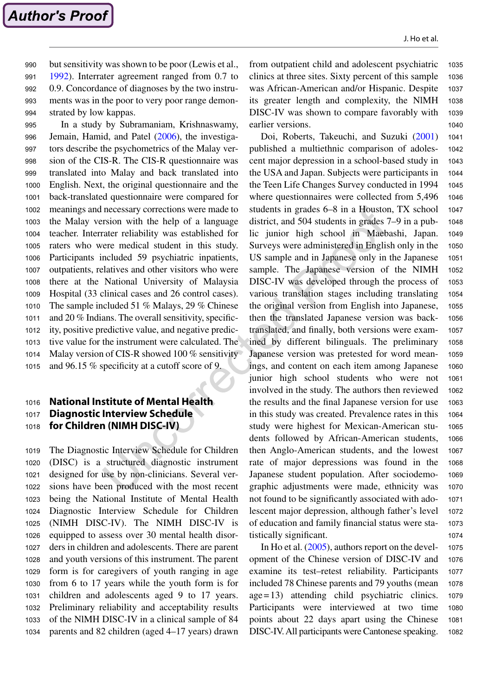but sensitivity was shown to be poor (Lewis et al., [1992](#page-23-20)). Interrater agreement ranged from 0.7 to 0.9. Concordance of diagnoses by the two instruments was in the poor to very poor range demonstrated by low kappas. 990 991 992 993 994

**Author's Proof** 

In a study by Subramaniam, Krishnaswamy, Jemain, Hamid, and Patel ([2006\)](#page-24-16), the investigators describe the psychometrics of the Malay version of the CIS-R. The CIS-R questionnaire was translated into Malay and back translated into English. Next, the original questionnaire and the back-translated questionnaire were compared for meanings and necessary corrections were made to the Malay version with the help of a language teacher. Interrater reliability was established for raters who were medical student in this study. Participants included 59 psychiatric inpatients, outpatients, relatives and other visitors who were there at the National University of Malaysia Hospital (33 clinical cases and 26 control cases). The sample included 51 % Malays, 29 % Chinese and 20 % Indians. The overall sensitivity, specificity, positive predictive value, and negative predictive value for the instrument were calculated. The Malay version of CIS-R showed 100 % sensitivity and 96.15 % specificity at a cutoff score of 9. 995 996 997 998 999 1000 1001 1002 1003 1004 1005 1006 1007 1008 1009 1010 1011 1012 1013 1014 1015

#### **National Institute of Mental Health Diagnostic Interview Schedule for Children (NIMH DISC-IV)** 1016 1017 1018

The Diagnostic Interview Schedule for Children (DISC) is a structured diagnostic instrument designed for use by non-clinicians. Several versions have been produced with the most recent being the National Institute of Mental Health Diagnostic Interview Schedule for Children (NIMH DISC-IV). The NIMH DISC-IV is equipped to assess over 30 mental health disorders in children and adolescents. There are parent and youth versions of this instrument. The parent form is for caregivers of youth ranging in age from 6 to 17 years while the youth form is for children and adolescents aged 9 to 17 years. Preliminary reliability and acceptability results of the NlMH DISC-IV in a clinical sample of 84 parents and 82 children (aged 4–17 years) drawn 1019 1020 1021 1022 1023 1024 1025 1026 1027 1028 1029 1030 1031 1032 1033 1034

from outpatient child and adolescent psychiatric clinics at three sites. Sixty percent of this sample was African-American and/or Hispanic. Despite its greater length and complexity, the NlMH DISC-IV was shown to compare favorably with earlier versions. 1035 1036 1037 1038 1039 1040

Doi, Roberts, Takeuchi, and Suzuki [\(2001](#page-22-13)) published a multiethnic comparison of adolescent major depression in a school-based study in the USA and Japan. Subjects were participants in the Teen Life Changes Survey conducted in 1994 where questionnaires were collected from 5,496 students in grades 6–8 in a Houston, TX school district, and 504 students in grades 7–9 in a public junior high school in Maebashi, Japan. Surveys were administered in English only in the US sample and in Japanese only in the Japanese sample. The Japanese version of the NIMH DISC-IV was developed through the process of various translation stages including translating the original version from English into Japanese, then the translated Japanese version was backtranslated, and finally, both versions were examined by different bilinguals. The preliminary Japanese version was pretested for word meanings, and content on each item among Japanese junior high school students who were not involved in the study. The authors then reviewed the results and the final Japanese version for use in this study was created. Prevalence rates in this study were highest for Mexican-American students followed by African-American students, then Anglo-American students, and the lowest rate of major depressions was found in the Japanese student population. After sociodemographic adjustments were made, ethnicity was not found to be significantly associated with adolescent major depression, although father's level of education and family financial status were statistically significant. 1041  $1042$ 1043 1044 1045 1046 1047 1048 1049 1050 1051 1052 1053 1054 1055 1056 1057 1058 1059 1060 1061 1062 1063 1064 1065 1066 1067 1068 1069 1070 1071 1072 1073 1074

In Ho et al. [\(2005](#page-23-21)), authors report on the development of the Chinese version of DISC-IV and examine its test–retest reliability. Participants included 78 Chinese parents and 79 youths (mean age=13) attending child psychiatric clinics. Participants were interviewed at two time points about 22 days apart using the Chinese DISC-IV. All participants were Cantonese speaking. 1075 1076 1077 1078 1079 1080 1081 1082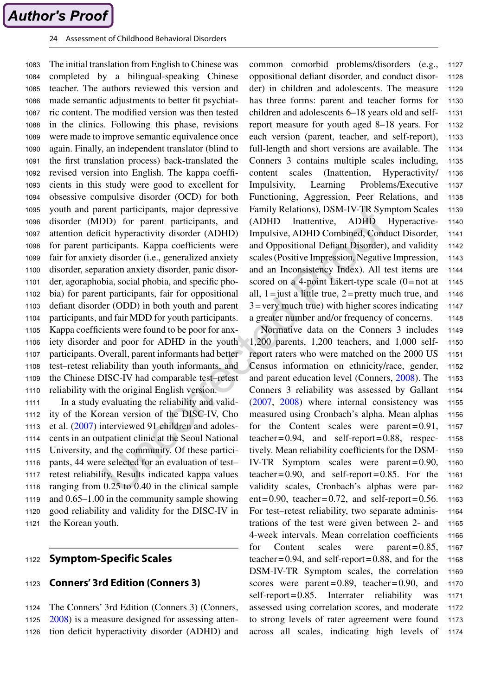The initial translation from English to Chinese was completed by a bilingual-speaking Chinese teacher. The authors reviewed this version and made semantic adjustments to better fit psychiatric content. The modified version was then tested in the clinics. Following this phase, revisions were made to improve semantic equivalence once again. Finally, an independent translator (blind to the first translation process) back-translated the revised version into English. The kappa coefficients in this study were good to excellent for obsessive compulsive disorder (OCD) for both youth and parent participants, major depressive disorder (MDD) for parent participants, and attention deficit hyperactivity disorder (ADHD) for parent participants. Kappa coefficients were fair for anxiety disorder (i.e., generalized anxiety disorder, separation anxiety disorder, panic disorder, agoraphobia, social phobia, and specific phobia) for parent participants, fair for oppositional defiant disorder (ODD) in both youth and parent participants, and fair MDD for youth participants. Kappa coefficients were found to be poor for anxiety disorder and poor for ADHD in the youth participants. Overall, parent informants had better test–retest reliability than youth informants, and the Chinese DISC-IV had comparable test–retest reliability with the original English version. 1083 1084 1085 1086 1087 1088 1089 1090 1091 1092 1093 1094 1095 1096 1097 1098 1099 1100 1101 1102 1103 1104 1105 1106 1107 1108 1109 1110

In a study evaluating the reliability and validity of the Korean version of the DISC-IV, Cho et al. ([2007\)](#page-22-14) interviewed 91 children and adolescents in an outpatient clinic at the Seoul National University, and the community. Of these participants, 44 were selected for an evaluation of test– retest reliability. Results indicated kappa values ranging from 0.25 to 0.40 in the clinical sample and 0.65–1.00 in the community sample showing good reliability and validity for the DISC-IV in the Korean youth. 1111 1112 1113 1114 1115 1116 1117 1118 1119 1120 1121

#### **Symptom-Specific Scales** 1122

#### **Conners' 3rd Edition (Conners 3)** 1123

The Conners' 3rd Edition (Conners 3) (Conners, [2008](#page-22-15)) is a measure designed for assessing attention deficit hyperactivity disorder (ADHD) and 1124 1125 1126

common comorbid problems/disorders (e.g., oppositional defiant disorder, and conduct disorder) in children and adolescents. The measure has three forms: parent and teacher forms for children and adolescents 6–18 years old and selfreport measure for youth aged 8–18 years. For each version (parent, teacher, and self-report), full-length and short versions are available. The Conners 3 contains multiple scales including, content scales (Inattention, Hyperactivity/ Impulsivity, Learning Problems/Executive Functioning, Aggression, Peer Relations, and Family Relations), DSM-IV-TR Symptom Scales (ADHD Inattentive, ADHD Hyperactive-Impulsive, ADHD Combined, Conduct Disorder, and Oppositional Defiant Disorder), and validity scales (Positive Impression, Negative Impression, and an Inconsistency Index). All test items are scored on a 4-point Likert-type scale (0=not at all,  $1 =$  just a little true,  $2 =$  pretty much true, and 3=very much true) with higher scores indicating a greater number and/or frequency of concerns. 1127 1128 1129 1130 1131 1132 1133 1134 1135 1136 1137 1138 1139 1140 1141 1142 1143 1144 1145 1146 1147 1148

Normative data on the Conners 3 includes 1,200 parents, 1,200 teachers, and 1,000 selfreport raters who were matched on the 2000 US Census information on ethnicity/race, gender, and parent education level (Conners, [2008](#page-22-15)). The Conners 3 reliability was assessed by Gallant [\(2007](#page-22-16), [2008\)](#page-22-17) where internal consistency was measured using Cronbach's alpha. Mean alphas for the Content scales were parent=0.91, teacher=0.94, and self-report=0.88, respectively. Mean reliability coefficients for the DSM-IV-TR Symptom scales were parent=0.90, teacher=0.90, and self-report=0.85. For the validity scales, Cronbach's alphas were par $ent=0.90$ , teacher=0.72, and self-report=0.56. For test–retest reliability, two separate administrations of the test were given between 2- and 4-week intervals. Mean correlation coefficients for Content scales were parent=0.85, teacher=0.94, and self-report=0.88, and for the DSM-IV-TR Symptom scales, the correlation scores were parent=0.89, teacher=0.90, and self-report=0.85. Interrater reliability was assessed using correlation scores, and moderate to strong levels of rater agreement were found across all scales, indicating high levels of 1149 1150 1151 1152 1153 1154 1155 1156 1157 1158 1159 1160 1161 1162 1163 1164 1165 1166 1167 1168 1169 1170 1171 1172 1173 1174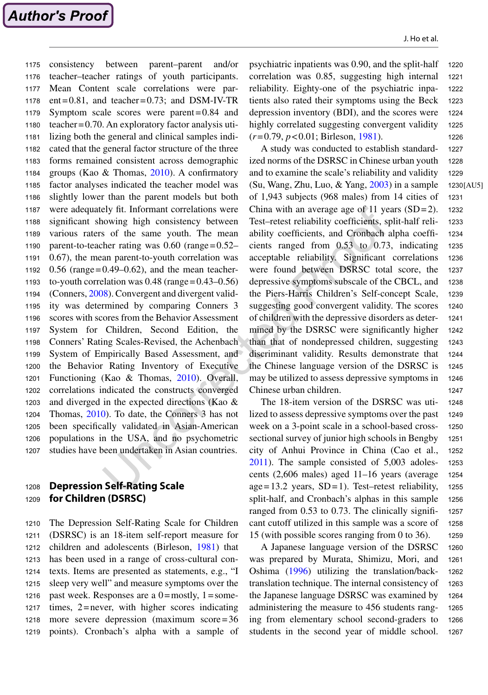consistency between parent–parent and/or teacher–teacher ratings of youth participants. Mean Content scale correlations were parent=0.81, and teacher=0.73; and DSM-IV-TR Symptom scale scores were parent=0.84 and teacher=0.70. An exploratory factor analysis utilizing both the general and clinical samples indicated that the general factor structure of the three forms remained consistent across demographic groups (Kao & Thomas, [2010\)](#page-23-22). A confirmatory factor analyses indicated the teacher model was slightly lower than the parent models but both were adequately fit. Informant correlations were significant showing high consistency between various raters of the same youth. The mean parent-to-teacher rating was  $0.60$  (range= $0.52-$ 0.67), the mean parent-to-youth correlation was  $0.56$  (range= $0.49-0.62$ ), and the mean teacherto-youth correlation was 0.48 (range=0.43–0.56) (Conners, [2008\)](#page-22-15). Convergent and divergent validity was determined by comparing Conners 3 scores with scores from the Behavior Assessment System for Children, Second Edition, the Conners' Rating Scales-Revised, the Achenbach System of Empirically Based Assessment, and the Behavior Rating Inventory of Executive Functioning (Kao & Thomas, [2010\)](#page-23-22). Overall, correlations indicated the constructs converged and diverged in the expected directions (Kao & Thomas, [2010](#page-23-22)). To date, the Conners 3 has not been specifically validated in Asian-American populations in the USA, and no psychometric studies have been undertaken in Asian countries. 1175 1176 1177 1178 1179 1180 1181 1182 1183 1184 1185 1186 1187 1188 1189 1190 1191 1192 1193 1194 1195 1196 1197 1198 1199 1200 1201 1202 1203 1204 1205 1206 1207

#### **Depression Self-Rating Scale for Children (DSRSC)** 1208 1209

The Depression Self-Rating Scale for Children (DSRSC) is an 18-item self-report measure for children and adolescents (Birleson, [1981](#page-21-5)) that has been used in a range of cross-cultural contexts. Items are presented as statements, e.g., "I sleep very well" and measure symptoms over the past week. Responses are a  $0 = \text{mostly}, 1 = \text{some}$ times, 2=never, with higher scores indicating more severe depression (maximum score=36 points). Cronbach's alpha with a sample of 1210 1211 1212 1213 1214 1215 1216 1217 1218 1219

psychiatric inpatients was 0.90, and the split-half correlation was 0.85, suggesting high internal reliability. Eighty-one of the psychiatric inpatients also rated their symptoms using the Beck depression inventory (BDI), and the scores were highly correlated suggesting convergent validity (*r*=0.79, *p*<0.01; Birleson, [1981\)](#page-21-5). 1220 1221 1222 1223 1224 1225 1226

A study was conducted to establish standardized norms of the DSRSC in Chinese urban youth and to examine the scale's reliability and validity (Su, Wang, Zhu, Luo, & Yang, [2003](#page-24-17)) in a sample of 1,943 subjects (968 males) from 14 cities of China with an average age of 11 years  $(SD=2)$ . Test–retest reliability coefficients, split-half reliability coefficients, and Cronbach alpha coefficients ranged from 0.53 to 0.73, indicating acceptable reliability. Significant correlations were found between DSRSC total score, the depressive symptoms subscale of the CBCL, and the Piers-Harris Children's Self-concept Scale, suggesting good convergent validity. The scores of children with the depressive disorders as determined by the DSRSC were significantly higher than that of nondepressed children, suggesting discriminant validity. Results demonstrate that the Chinese language version of the DSRSC is may be utilized to assess depressive symptoms in Chinese urban children. [AU5] 1230 1227 1228 1229 1231 1232 1233 1234 1235 1236 1237 1238 1239 1240 1241 1242 1243 1244 1245 1246 1247

The 18-item version of the DSRSC was utilized to assess depressive symptoms over the past week on a 3-point scale in a school-based crosssectional survey of junior high schools in Bengby city of Anhui Province in China (Cao et al., [2011\)](#page-22-18). The sample consisted of 5,003 adolescents (2,606 males) aged 11–16 years (average  $age=13.2 \text{ years}, SD=1$ ). Test–retest reliability, split-half, and Cronbach's alphas in this sample ranged from 0.53 to 0.73. The clinically significant cutoff utilized in this sample was a score of 15 (with possible scores ranging from 0 to 36). 1248 1249 1250 1251 1252 1253 1254 1255 1256 1257 1258 1259

A Japanese language version of the DSRSC was prepared by Murata, Shimizu, Mori, and Oshima ([1996\)](#page-24-18) utilizing the translation/backtranslation technique. The internal consistency of the Japanese language DSRSC was examined by administering the measure to 456 students ranging from elementary school second-graders to students in the second year of middle school. 1260 1261 1262 1263 1264 1265 1266 1267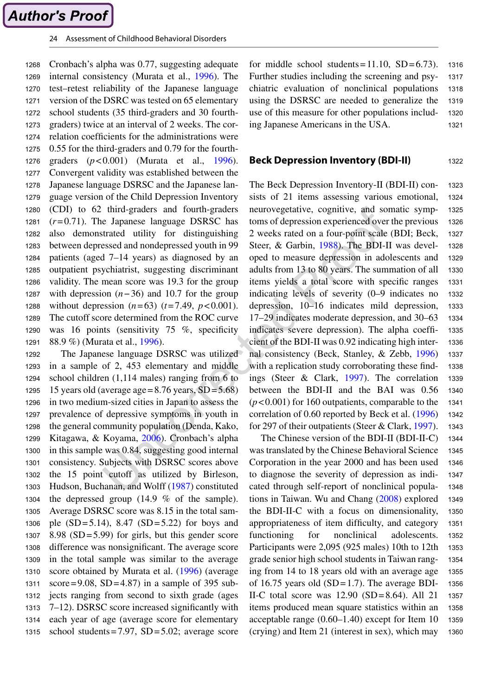Cronbach's alpha was 0.77, suggesting adequate internal consistency (Murata et al., [1996](#page-24-18)). The test–retest reliability of the Japanese language version of the DSRC was tested on 65 elementary school students (35 third-graders and 30 fourthgraders) twice at an interval of 2 weeks. The correlation coefficients for the administrations were 0.55 for the third-graders and 0.79 for the fourthgraders (*p*<0.001) (Murata et al., [1996\)](#page-24-18). Convergent validity was established between the Japanese language DSRSC and the Japanese language version of the Child Depression Inventory (CDI) to 62 third-graders and fourth-graders (*r*=0.71). The Japanese language DSRSC has also demonstrated utility for distinguishing between depressed and nondepressed youth in 99 patients (aged 7–14 years) as diagnosed by an outpatient psychiatrist, suggesting discriminant validity. The mean score was 19.3 for the group with depression (*n*−36) and 10.7 for the group without depression  $(n=63)$   $(t=7.49, p<0.001)$ . The cutoff score determined from the ROC curve was 16 points (sensitivity 75 %, specificity 88.9 %) (Murata et al., [1996](#page-24-18)). 1268 1269 1270 1271 1272 1273 1274 1275 1276 1277 1278 1279 1280 1281 1282 1283 1284 1285 1286 1287 1288 1289 1290 1291

The Japanese language DSRSC was utilized in a sample of 2, 453 elementary and middle school children (1,114 males) ranging from 6 to 15 years old (average age =  $8.76$  years,  $SD = 5.68$ ) in two medium-sized cities in Japan to assess the prevalence of depressive symptoms in youth in the general community population (Denda, Kako, Kitagawa, & Koyama, [2006\)](#page-22-19). Cronbach's alpha in this sample was 0.84, suggesting good internal consistency. Subjects with DSRSC scores above the 15 point cutoff as utilized by Birleson, Hudson, Buchanan, and Wolff [\(1987](#page-21-6)) constituted the depressed group (14.9 % of the sample). Average DSRSC score was 8.15 in the total sample  $(SD=5.14)$ , 8.47  $(SD=5.22)$  for boys and 8.98 (SD=5.99) for girls, but this gender score difference was nonsignificant. The average score in the total sample was similar to the average score obtained by Murata et al. ([1996\)](#page-24-18) (average score=9.08,  $SD=4.87$ ) in a sample of 395 subjects ranging from second to sixth grade (ages 7–12). DSRSC score increased significantly with each year of age (average score for elementary school students=7.97, SD=5.02; average score 1292 1293 1294 1295 1296 1297 1298 1299 1300 1301 1302 1303 1304 1305 1306 1307 1308 1309 1310 1311 1312 1313 1314 1315

for middle school students= $11.10$ , SD= $6.73$ ). Further studies including the screening and psychiatric evaluation of nonclinical populations using the DSRSC are needed to generalize the use of this measure for other populations including Japanese Americans in the USA. 1316 1317 1318 1319 1320 1321

#### **Beck Depression Inventory (BDI-II)** 1322

The Beck Depression Inventory-II (BDI-II) consists of 21 items assessing various emotional, neurovegetative, cognitive, and somatic symptoms of depression experienced over the previous 2 weeks rated on a four-point scale (BDI; Beck, Steer, & Garbin, [1988\)](#page-21-7). The BDI-II was developed to measure depression in adolescents and adults from 13 to 80 years. The summation of all items yields a total score with specific ranges indicating levels of severity (0–9 indicates no depression, 10–16 indicates mild depression, 17–29 indicates moderate depression, and 30–63 indicates severe depression). The alpha coefficient of the BDI-II was 0.92 indicating high internal consistency (Beck, Stanley, & Zebb, [1996](#page-21-8)) with a replication study corroborating these findings (Steer & Clark, [1997](#page-24-19)). The correlation between the BDI-II and the BAI was 0.56  $(p<0.001)$  for 160 outpatients, comparable to the correlation of 0.60 reported by Beck et al. [\(1996](#page-21-8)) for 297 of their outpatients (Steer & Clark, [1997\)](#page-24-19). 1323 1324 1325 1326 1327 1328 1329 1330 1331 1332 1333 1334 1335 1336 1337 1338 1339 1340 1341 1342 1343

The Chinese version of the BDI-II (BDI-II-C) was translated by the Chinese Behavioral Science Corporation in the year 2000 and has been used to diagnose the severity of depression as indicated through self-report of nonclinical populations in Taiwan. Wu and Chang [\(2008](#page-25-11)) explored the BDI-II-C with a focus on dimensionality, appropriateness of item difficulty, and category functioning for nonclinical adolescents. Participants were 2,095 (925 males) 10th to 12th grade senior high school students in Taiwan ranging from 14 to 18 years old with an average age of 16.75 years old  $(SD=1.7)$ . The average BDI-II-C total score was  $12.90$  (SD=8.64). All 21 items produced mean square statistics within an acceptable range (0.60–1.40) except for Item 10 (crying) and Item 21 (interest in sex), which may 1344 1345 1346 1347 1348 1349 1350 1351 1352 1353 1354 1355 1356 1357 1358 1359 1360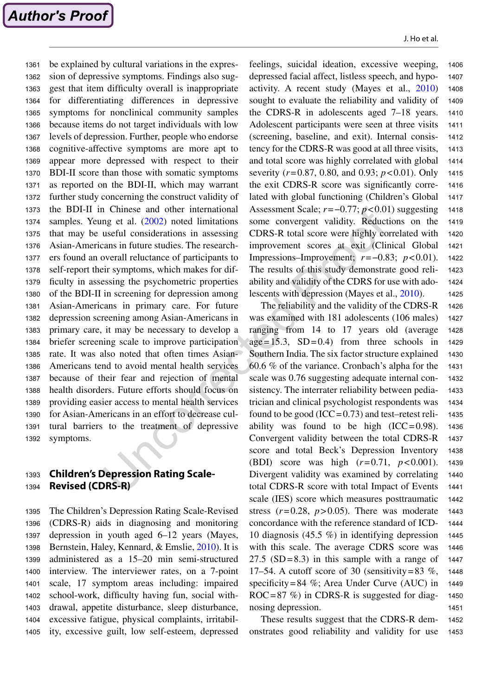be explained by cultural variations in the expression of depressive symptoms. Findings also suggest that item difficulty overall is inappropriate for differentiating differences in depressive symptoms for nonclinical community samples because items do not target individuals with low levels of depression. Further, people who endorse cognitive-affective symptoms are more apt to appear more depressed with respect to their BDI-II score than those with somatic symptoms as reported on the BDI-II, which may warrant further study concerning the construct validity of the BDI-II in Chinese and other international samples. Yeung et al. [\(2002](#page-25-12)) noted limitations that may be useful considerations in assessing Asian-Americans in future studies. The researchers found an overall reluctance of participants to self-report their symptoms, which makes for difficulty in assessing the psychometric properties of the BDI-II in screening for depression among Asian-Americans in primary care. For future depression screening among Asian-Americans in primary care, it may be necessary to develop a briefer screening scale to improve participation rate. It was also noted that often times Asian-Americans tend to avoid mental health services because of their fear and rejection of mental health disorders. Future efforts should focus on providing easier access to mental health services for Asian-Americans in an effort to decrease cultural barriers to the treatment of depressive symptoms. 1361 1362 1363 1364 1365 1366 1367 1368 1369 1370 1371 1372 1373 1374 1375 1376 1377 1378 1379 1380 1381 1382 1383 1384 1385 1386 1387 1388 1389 1390 1391 1392

#### **Children's Depression Rating Scale-Revised (CDRS-R)** 1393 1394

The Children's Depression Rating Scale-Revised (CDRS-R) aids in diagnosing and monitoring depression in youth aged 6–12 years (Mayes, Bernstein, Haley, Kennard, & Emslie, [2010](#page-24-20)). It is administered as a 15–20 min semi-structured interview. The interviewer rates, on a 7-point scale, 17 symptom areas including: impaired school-work, difficulty having fun, social withdrawal, appetite disturbance, sleep disturbance, excessive fatigue, physical complaints, irritability, excessive guilt, low self-esteem, depressed 1395 1396 1397 1398 1399 1400 1401 1402 1403 1404 1405

feelings, suicidal ideation, excessive weeping, depressed facial affect, listless speech, and hypoactivity. A recent study (Mayes et al., [2010](#page-24-20)) sought to evaluate the reliability and validity of the CDRS-R in adolescents aged 7–18 years. Adolescent participants were seen at three visits (screening, baseline, and exit). Internal consistency for the CDRS-R was good at all three visits, and total score was highly correlated with global severity (*r*=0.87, 0.80, and 0.93; *p*<0.01). Only the exit CDRS-R score was significantly correlated with global functioning (Children's Global Assessment Scale; *r*=−0.77; *p*<0.01) suggesting some convergent validity. Reductions on the CDRS-R total score were highly correlated with improvement scores at exit (Clinical Global Impressions–Improvement; *r*=−0.83; *p*<0.01). The results of this study demonstrate good reliability and validity of the CDRS for use with adolescents with depression (Mayes et al., [2010\)](#page-24-20). 1406 1407 1408 1409 1410 1411 1412 1413 1414 1415 1416 1417 1418 1419 1420 1421 1422 1423 1424 1425

The reliability and the validity of the CDRS-R was examined with 181 adolescents (106 males) ranging from 14 to 17 years old (average  $age=15.3$ ,  $SD=0.4$ ) from three schools in Southern India. The six factor structure explained 60.6 % of the variance. Cronbach's alpha for the scale was 0.76 suggesting adequate internal consistency. The interrater reliability between pediatrician and clinical psychologist respondents was found to be good (ICC =  $0.73$ ) and test–retest reliability was found to be high  $(ICC=0.98)$ . Convergent validity between the total CDRS-R score and total Beck's Depression Inventory (BDI) score was high (*r*=0.71, *p*<0.001). Divergent validity was examined by correlating total CDRS-R score with total Impact of Events scale (IES) score which measures posttraumatic stress  $(r=0.28, p>0.05)$ . There was moderate concordance with the reference standard of ICD-10 diagnosis (45.5 %) in identifying depression with this scale. The average CDRS score was 27.5 (SD=8.3) in this sample with a range of 17–54. A cutoff score of 30 (sensitivity = 83 %, specificity=84 %; Area Under Curve (AUC) in  $ROC=87$  %) in CDRS-R is suggested for diagnosing depression. 1426 1427 1428 1429 1430 1431 1432 1433 1434 1435 1436 1437 1438 1439 1440 1441 1442 1443 1444 1445 1446 1447 1448 1449 1450 1451

These results suggest that the CDRS-R demonstrates good reliability and validity for use 1452 1453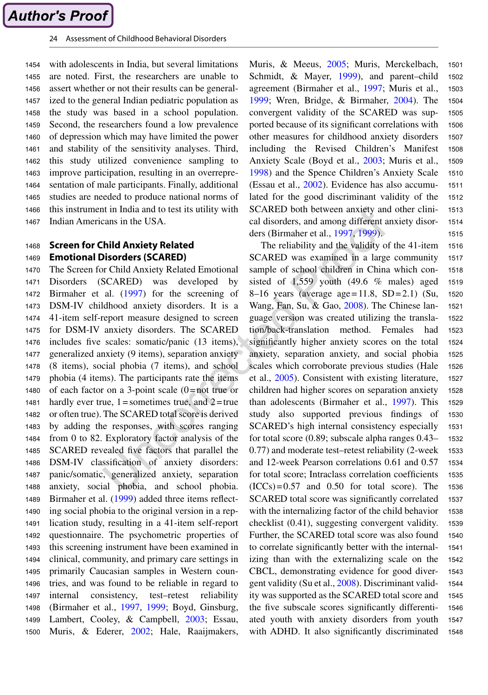with adolescents in India, but several limitations are noted. First, the researchers are unable to assert whether or not their results can be generalized to the general Indian pediatric population as the study was based in a school population. Second, the researchers found a low prevalence of depression which may have limited the power and stability of the sensitivity analyses. Third, this study utilized convenience sampling to improve participation, resulting in an overrepresentation of male participants. Finally, additional studies are needed to produce national norms of this instrument in India and to test its utility with Indian Americans in the USA. 1454 1455 1456 1457 1458 1459 1460 1461 1462 1463 1464 1465 1466 1467

#### **Screen for Child Anxiety Related Emotional Disorders (SCARED)** 1468 1469

The Screen for Child Anxiety Related Emotional Disorders (SCARED) was developed by Birmaher et al. ([1997\)](#page-22-20) for the screening of DSM-IV childhood anxiety disorders. It is a 41-item self-report measure designed to screen for DSM-IV anxiety disorders. The SCARED includes five scales: somatic/panic (13 items), generalized anxiety (9 items), separation anxiety (8 items), social phobia (7 items), and school phobia (4 items). The participants rate the items of each factor on a 3-point scale (0=not true or hardly ever true,  $1 =$ sometimes true, and  $2 =$ true or often true). The SCARED total score is derived by adding the responses, with scores ranging from 0 to 82. Exploratory factor analysis of the SCARED revealed five factors that parallel the DSM-IV classification of anxiety disorders: panic/somatic, generalized anxiety, separation anxiety, social phobia, and school phobia. Birmaher et al. ([1999\)](#page-22-21) added three items reflecting social phobia to the original version in a replication study, resulting in a 41-item self-report questionnaire. The psychometric properties of this screening instrument have been examined in clinical, community, and primary care settings in primarily Caucasian samples in Western countries, and was found to be reliable in regard to internal consistency, test–retest reliability (Birmaher et al., [1997,](#page-22-20) [1999](#page-22-21); Boyd, Ginsburg, Lambert, Cooley, & Campbell, [2003;](#page-22-22) Essau, Muris, & Ederer, [2002;](#page-22-23) Hale, Raaijmakers, 1470 1471 1472 1473 1474 1475 1476 1477 1478 1479 1480 1481 1482 1483 1484 1485 1486 1487 1488 1489 1490 1491 1492 1493 1494 1495 1496 1497 1498 1499 1500

Muris, & Meeus, [2005](#page-22-24); Muris, Merckelbach, Schmidt, & Mayer, [1999\)](#page-24-21), and parent–child agreement (Birmaher et al., [1997;](#page-22-20) Muris et al., [1999;](#page-24-21) Wren, Bridge, & Birmaher, [2004](#page-25-13)). The convergent validity of the SCARED was supported because of its significant correlations with other measures for childhood anxiety disorders including the Revised Children's Manifest Anxiety Scale (Boyd et al., [2003;](#page-22-22) Muris et al., [1998\)](#page-24-22) and the Spence Children's Anxiety Scale (Essau et al., [2002\)](#page-22-23). Evidence has also accumulated for the good discriminant validity of the SCARED both between anxiety and other clinical disorders, and among different anxiety disorders (Birmaher et al., [1997](#page-22-20), [1999](#page-22-21)). 1501 1502 1503 1504 1505 1506 1507 1508 1509 1510 1511 1512 1513 1514 1515

The reliability and the validity of the 41-item SCARED was examined in a large community sample of school children in China which consisted of 1,559 youth (49.6 % males) aged 8–16 years (average age=11.8, SD=2.1) (Su, Wang, Fan, Su, & Gao, [2008\)](#page-24-23). The Chinese language version was created utilizing the translation/back-translation method. Females had significantly higher anxiety scores on the total anxiety, separation anxiety, and social phobia scales which corroborate previous studies (Hale et al., [2005](#page-22-24)). Consistent with existing literature, children had higher scores on separation anxiety than adolescents (Birmaher et al., [1997](#page-22-20)). This study also supported previous findings of SCARED's high internal consistency especially for total score (0.89; subscale alpha ranges 0.43– 0.77) and moderate test–retest reliability (2-week and 12-week Pearson correlations 0.61 and 0.57 for total score; Intraclass correlation coefficients  $(ICCs) = 0.57$  and 0.50 for total score). The SCARED total score was significantly correlated with the internalizing factor of the child behavior checklist (0.41), suggesting convergent validity. Further, the SCARED total score was also found to correlate significantly better with the internalizing than with the externalizing scale on the CBCL, demonstrating evidence for good divergent validity (Su et al., [2008](#page-24-23)). Discriminant validity was supported as the SCARED total score and the five subscale scores significantly differentiated youth with anxiety disorders from youth with ADHD. It also significantly discriminated 1516 1517 1518 1519 1520 1521 1522 1523 1524 1525 1526 1527 1528 1529 1530 1531 1532 1533 1534 1535 1536 1537 1538 1539 1540 1541 1542 1543 1544 1545 1546 1547 1548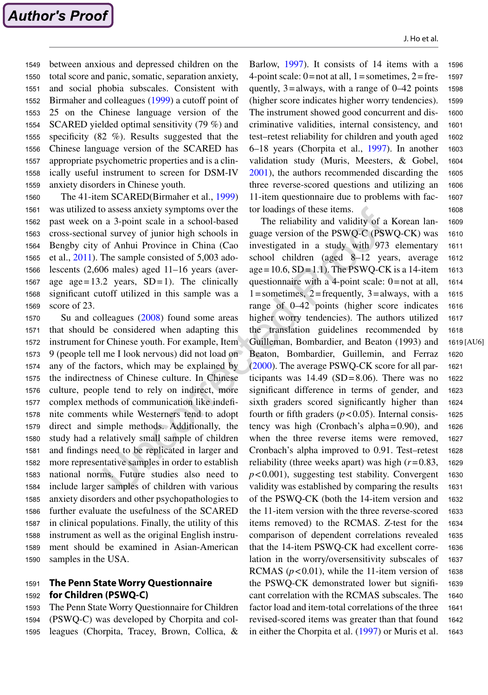between anxious and depressed children on the total score and panic, somatic, separation anxiety, and social phobia subscales. Consistent with Birmaher and colleagues [\(1999](#page-22-21)) a cutoff point of 25 on the Chinese language version of the SCARED yielded optimal sensitivity (79 %) and specificity (82 %). Results suggested that the Chinese language version of the SCARED has appropriate psychometric properties and is a clinically useful instrument to screen for DSM-IV anxiety disorders in Chinese youth. 1549 1550 1551 1552 1553 1554 1555 1556 1557 1558 1559

The 41-item SCARED(Birmaher et al., [1999](#page-22-21)) was utilized to assess anxiety symptoms over the past week on a 3-point scale in a school-based cross-sectional survey of junior high schools in Bengby city of Anhui Province in China (Cao et al., [2011](#page-22-18)). The sample consisted of 5,003 adolescents (2,606 males) aged 11–16 years (average age=13.2 years,  $SD=1$ ). The clinically significant cutoff utilized in this sample was a score of 23. 1560 1561 1562 1563 1564 1565 1566 1567 1568 1569

Su and colleagues ([2008](#page-24-23)) found some areas that should be considered when adapting this instrument for Chinese youth. For example, Item 9 (people tell me I look nervous) did not load on any of the factors, which may be explained by the indirectness of Chinese culture. In Chinese culture, people tend to rely on indirect, more complex methods of communication like indefinite comments while Westerners tend to adopt direct and simple methods. Additionally, the study had a relatively small sample of children and findings need to be replicated in larger and more representative samples in order to establish national norms. Future studies also need to include larger samples of children with various anxiety disorders and other psychopathologies to further evaluate the usefulness of the SCARED in clinical populations. Finally, the utility of this instrument as well as the original English instrument should be examined in Asian-American samples in the USA. 1570 1571 1572 1573 1574 1575 1576 1577 1578 1579 1580 1581 1582 1583 1584 1585 1586 1587 1588 1589 1590

#### **The Penn State Worry Questionnaire for Children (PSWQ-C)** 1591 1592

The Penn State Worry Questionnaire for Children (PSWQ-C) was developed by Chorpita and colleagues (Chorpita, Tracey, Brown, Collica, & 1593 1594 1595

Barlow, [1997](#page-22-25)). It consists of 14 items with a 4-point scale:  $0 = not$  at all,  $1 =$ sometimes,  $2 =$ frequently,  $3 =$ always, with a range of  $0 - 42$  points (higher score indicates higher worry tendencies). The instrument showed good concurrent and discriminative validities, internal consistency, and test–retest reliability for children and youth aged 6–18 years (Chorpita et al., [1997](#page-22-25)). In another validation study (Muris, Meesters, & Gobel, [2001\)](#page-24-24), the authors recommended discarding the three reverse-scored questions and utilizing an 11-item questionnaire due to problems with factor loadings of these items. 1596 1597 1598 1599 1600 1601 1602 1603 1604 1605 1606 1607 1608

The reliability and validity of a Korean language version of the PSWQ-C (PSWQ-CK) was investigated in a study with 973 elementary school children (aged 8–12 years, average  $age = 10.6$ ,  $SD = 1.1$ ). The PSWQ-CK is a 14-item questionnaire with a 4-point scale: 0=not at all,  $1 =$ sometimes,  $2 =$ frequently,  $3 =$ always, with a range of 0–42 points (higher score indicates higher worry tendencies). The authors utilized the translation guidelines recommended by Guilleman, Bombardier, and Beaton (1993) and Beaton, Bombardier, Guillemin, and Ferraz [\(2000](#page-21-9)). The average PSWQ-CK score for all participants was  $14.49$  (SD=8.06). There was no significant difference in terms of gender, and sixth graders scored significantly higher than fourth or fifth graders  $(p<0.05)$ . Internal consistency was high (Cronbach's alpha=0.90), and when the three reverse items were removed, Cronbach's alpha improved to 0.91. Test–retest reliability (three weeks apart) was high (*r*=0.83, *p*<0.001), suggesting test stability. Convergent validity was established by comparing the results of the PSWQ-CK (both the 14-item version and the 11-item version with the three reverse-scored items removed) to the RCMAS. *Z*-test for the comparison of dependent correlations revealed that the 14-item PSWQ-CK had excellent correlation in the worry/oversensitivity subscales of RCMAS  $(p<0.01)$ , while the 11-item version of the PSWQ-CK demonstrated lower but significant correlation with the RCMAS subscales. The factor load and item-total correlations of the three revised-scored items was greater than that found in either the Chorpita et al. [\(1997](#page-22-25)) or Muris et al. [AU6] 1619 1609 1610 1611 1612 1613 1614 1615 1616 1617 1618 1620 1621 1622 1623 1624 1625 1626 1627 1628 1629 1630 1631 1632 1633 1634 1635 1636 1637 1638 1639 1640 1641 1642 1643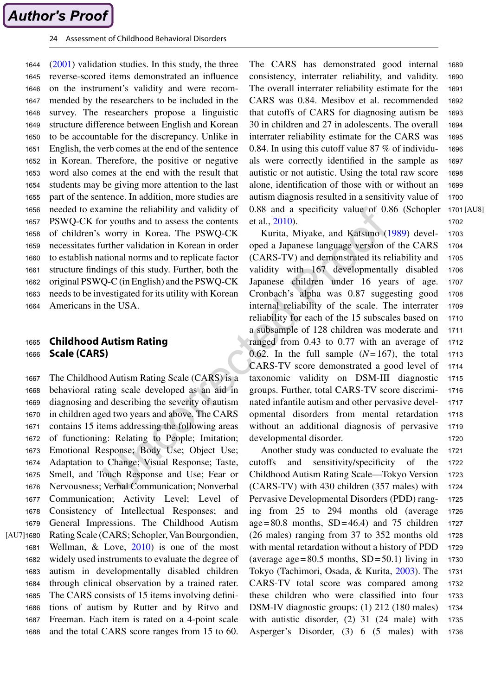[\(2001](#page-24-24)) validation studies. In this study, the three reverse-scored items demonstrated an influence on the instrument's validity and were recommended by the researchers to be included in the survey. The researchers propose a linguistic structure difference between English and Korean to be accountable for the discrepancy. Unlike in English, the verb comes at the end of the sentence in Korean. Therefore, the positive or negative word also comes at the end with the result that students may be giving more attention to the last part of the sentence. In addition, more studies are needed to examine the reliability and validity of PSWQ-CK for youths and to assess the contents of children's worry in Korea. The PSWQ-CK necessitates further validation in Korean in order to establish national norms and to replicate factor structure findings of this study. Further, both the original PSWQ-C (in English) and the PSWQ-CK needs to be investigated for its utility with Korean Americans in the USA. 1644 1645 1646 1647 1648 1649 1650 1651 1652 1653 1654 1655 1656 1657 1658 1659 1660 1661 1662 1663 1664

#### **Childhood Autism Rating Scale (CARS)** 1665 1666

The Childhood Autism Rating Scale (CARS) is a behavioral rating scale developed as an aid in diagnosing and describing the severity of autism in children aged two years and above. The CARS contains 15 items addressing the following areas of functioning: Relating to People; Imitation; Emotional Response; Body Use; Object Use; Adaptation to Change; Visual Response; Taste, Smell, and Touch Response and Use; Fear or Nervousness; Verbal Communication; Nonverbal Communication; Activity Level; Level of Consistency of Intellectual Responses; and General Impressions. The Childhood Autism Rating Scale (CARS; Schopler, Van Bourgondien, Wellman, & Love, [2010\)](#page-24-25) is one of the most widely used instruments to evaluate the degree of autism in developmentally disabled children through clinical observation by a trained rater. The CARS consists of 15 items involving definitions of autism by Rutter and by Ritvo and Freeman. Each item is rated on a 4-point scale and the total CARS score ranges from 15 to 60. [AU7] 1680 1667 1668 1669 1670 1671 1672 1673 1674 1675 1676 1677 1678 1679 1681 1682 1683 1684 1685 1686 1687 1688

The CARS has demonstrated good internal consistency, interrater reliability, and validity. The overall interrater reliability estimate for the CARS was 0.84. Mesibov et al. recommended that cutoffs of CARS for diagnosing autism be 30 in children and 27 in adolescents. The overall interrater reliability estimate for the CARS was 0.84. In using this cutoff value 87 % of individuals were correctly identified in the sample as autistic or not autistic. Using the total raw score alone, identification of those with or without an autism diagnosis resulted in a sensitivity value of 0.88 and a specificity value of 0.86 (Schopler et al., [2010](#page-24-25)). [AU8] 1701 1689 1690 1691 1692 1693 1694 1695 1696 1697 1698 1699 1700 1702

Kurita, Miyake, and Katsuno [\(1989\)](#page-23-23) developed a Japanese language version of the CARS (CARS-TV) and demonstrated its reliability and validity with 167 developmentally disabled Japanese children under 16 years of age. Cronbach's alpha was 0.87 suggesting good internal reliability of the scale. The interrater reliability for each of the 15 subscales based on a subsample of 128 children was moderate and ranged from 0.43 to 0.77 with an average of 0.62. In the full sample  $(N=167)$ , the total CARS-TV score demonstrated a good level of taxonomic validity on DSM-III diagnostic groups. Further, total CARS-TV score discriminated infantile autism and other pervasive developmental disorders from mental retardation without an additional diagnosis of pervasive developmental disorder. 1703 1704 1705 1706 1707 1708 1709 1710 1711 1712 1713 1714 1715 1716 1717 1718 1719 1720

Another study was conducted to evaluate the cutoffs and sensitivity/specificity of the Childhood Autism Rating Scale—Tokyo Version (CARS-TV) with 430 children (357 males) with Pervasive Developmental Disorders (PDD) ranging from 25 to 294 months old (average  $age = 80.8$  months,  $SD = 46.4$ ) and 75 children (26 males) ranging from 37 to 352 months old with mental retardation without a history of PDD (average  $age=80.5$  months,  $SD=50.1$ ) living in Tokyo (Tachimori, Osada, & Kurita, [2003](#page-24-26)). The CARS-TV total score was compared among these children who were classified into four DSM-IV diagnostic groups: (1) 212 (180 males) with autistic disorder, (2) 31 (24 male) with Asperger's Disorder, (3) 6 (5 males) with 1721 1722 1723 1724 1725 1726 1727 1728 1729 1730 1731 1732 1733 1734 1735 1736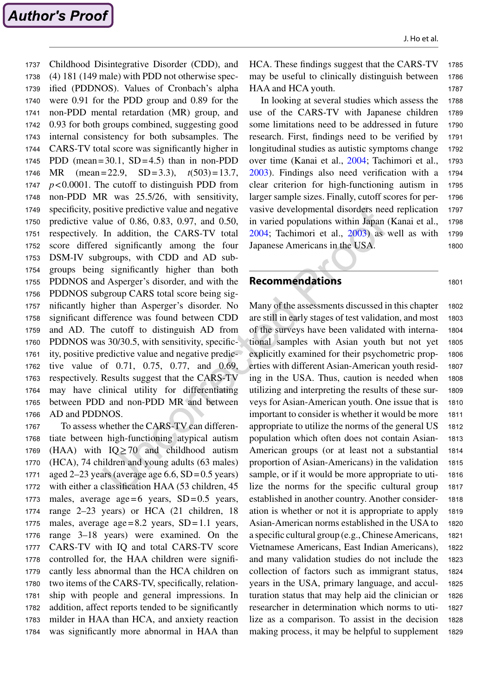Childhood Disintegrative Disorder (CDD), and (4) 181 (149 male) with PDD not otherwise specified (PDDNOS). Values of Cronbach's alpha were 0.91 for the PDD group and 0.89 for the non-PDD mental retardation (MR) group, and 0.93 for both groups combined, suggesting good internal consistency for both subsamples. The CARS-TV total score was significantly higher in PDD (mean=30.1, SD=4.5) than in non-PDD MR (mean=22.9, SD=3.3), *t*(503)=13.7, *p*<0.0001. The cutoff to distinguish PDD from non-PDD MR was 25.5/26, with sensitivity, specificity, positive predictive value and negative predictive value of 0.86, 0.83, 0.97, and 0.50, respectively. In addition, the CARS-TV total score differed significantly among the four DSM-IV subgroups, with CDD and AD subgroups being significantly higher than both PDDNOS and Asperger's disorder, and with the PDDNOS subgroup CARS total score being significantly higher than Asperger's disorder. No significant difference was found between CDD and AD. The cutoff to distinguish AD from PDDNOS was 30/30.5, with sensitivity, specificity, positive predictive value and negative predictive value of 0.71, 0.75, 0.77, and 0.69, respectively. Results suggest that the CARS-TV may have clinical utility for differentiating between PDD and non-PDD MR and between AD and PDDNOS. 1737 1738 1739 1740 1741 1742 1743 1744 1745 1746 1747 1748 1749 1750 1751 1752 1753 1754 1755 1756 1757 1758 1759 1760 1761 1762 1763 1764 1765 1766

To assess whether the CARS-TV can differentiate between high-functioning atypical autism (HAA) with  $IQ \ge 70$  and childhood autism (HCA), 74 children and young adults (63 males) aged 2–23 years (average age  $6.6$ ,  $SD=0.5$  years) with either a classification HAA (53 children, 45 males, average age=6 years,  $SD=0.5$  years, range 2–23 years) or HCA (21 children, 18 males, average  $age=8.2$  years,  $SD=1.1$  years, range 3–18 years) were examined. On the CARS-TV with IQ and total CARS-TV score controlled for, the HAA children were significantly less abnormal than the HCA children on two items of the CARS-TV, specifically, relationship with people and general impressions. In addition, affect reports tended to be significantly milder in HAA than HCA, and anxiety reaction was significantly more abnormal in HAA than 1767 1768 1769 1770 1771 1772 1773 1774 1775 1776 1777 1778 1779 1780 1781 1782 1783 1784

HCA. These findings suggest that the CARS-TV may be useful to clinically distinguish between HAA and HCA youth. 1785 1786 1787

In looking at several studies which assess the use of the CARS-TV with Japanese children some limitations need to be addressed in future research. First, findings need to be verified by longitudinal studies as autistic symptoms change over time (Kanai et al., [2004](#page-23-24); Tachimori et al., [2003\)](#page-24-26). Findings also need verification with a clear criterion for high-functioning autism in larger sample sizes. Finally, cutoff scores for pervasive developmental disorders need replication in varied populations within Japan (Kanai et al., [2004;](#page-23-24) Tachimori et al., [2003\)](#page-24-26) as well as with Japanese Americans in the USA. 1788 1789 1790 1791 1792 1793 1794 1795 1796 1797 1798 1799 1800

## **Recommendations**

Many of the assessments discussed in this chapter are still in early stages of test validation, and most of the surveys have been validated with international samples with Asian youth but not yet explicitly examined for their psychometric properties with different Asian-American youth residing in the USA. Thus, caution is needed when utilizing and interpreting the results of these surveys for Asian-American youth. One issue that is important to consider is whether it would be more appropriate to utilize the norms of the general US population which often does not contain Asian-American groups (or at least not a substantial proportion of Asian-Americans) in the validation sample, or if it would be more appropriate to utilize the norms for the specific cultural group established in another country. Another consideration is whether or not it is appropriate to apply Asian-American norms established in the USA to a specific cultural group (e.g., Chinese Americans, Vietnamese Americans, East Indian Americans), and many validation studies do not include the collection of factors such as immigrant status, years in the USA, primary language, and acculturation status that may help aid the clinician or researcher in determination which norms to uti-1802 1803 1804 1805 1806 1807 1808 1809 1810 1811 1812 1813 1814 1815 1816 1817 1818 1819 1820 1821 1822 1823 1824 1825 1826 1827

lize as a comparison. To assist in the decision making process, it may be helpful to supplement 1801

1828 1829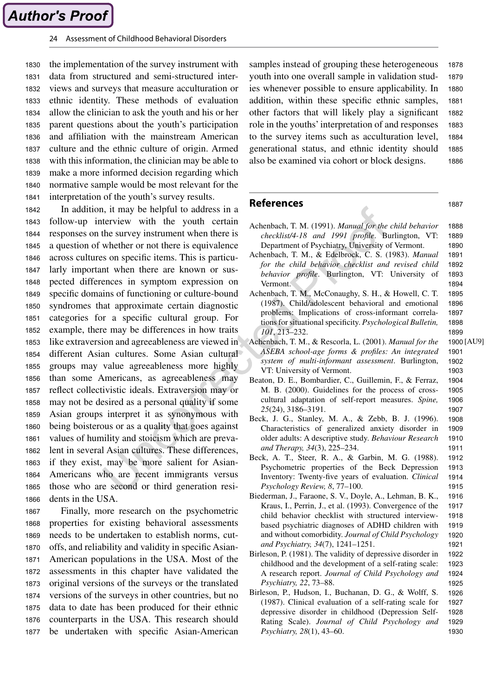the implementation of the survey instrument with data from structured and semi-structured interviews and surveys that measure acculturation or ethnic identity. These methods of evaluation allow the clinician to ask the youth and his or her parent questions about the youth's participation and affiliation with the mainstream American culture and the ethnic culture of origin. Armed with this information, the clinician may be able to make a more informed decision regarding which normative sample would be most relevant for the interpretation of the youth's survey results. 1830 1831 1832 1833 1834 1835 1836 1837 1838 1839 1840 1841

In addition, it may be helpful to address in a follow-up interview with the youth certain responses on the survey instrument when there is a question of whether or not there is equivalence across cultures on specific items. This is particularly important when there are known or suspected differences in symptom expression on specific domains of functioning or culture-bound syndromes that approximate certain diagnostic categories for a specific cultural group. For example, there may be differences in how traits like extraversion and agreeableness are viewed in different Asian cultures. Some Asian cultural groups may value agreeableness more highly than some Americans, as agreeableness may reflect collectivistic ideals. Extraversion may or may not be desired as a personal quality if some Asian groups interpret it as synonymous with being boisterous or as a quality that goes against values of humility and stoicism which are prevalent in several Asian cultures. These differences, if they exist, may be more salient for Asian-Americans who are recent immigrants versus those who are second or third generation residents in the USA. 1842 1843 1844 1845 1846 1847 1848 1849 1850 1851 1852 1853 1854 1855 1856 1857 1858 1859 1860 1861 1862 1863 1864 1865 1866

Finally, more research on the psychometric properties for existing behavioral assessments needs to be undertaken to establish norms, cutoffs, and reliability and validity in specific Asian-American populations in the USA. Most of the assessments in this chapter have validated the original versions of the surveys or the translated versions of the surveys in other countries, but no data to date has been produced for their ethnic counterparts in the USA. This research should be undertaken with specific Asian-American 1867 1868 1869 1870 1871 1872 1873 1874 1875 1876 1877

samples instead of grouping these heterogeneous youth into one overall sample in validation studies whenever possible to ensure applicability. In addition, within these specific ethnic samples, other factors that will likely play a significant role in the youths' interpretation of and responses to the survey items such as acculturation level, generational status, and ethnic identity should also be examined via cohort or block designs. 1878 1879 1880 1881 1882 1883 1884 1885 1886

## **References**

<span id="page-21-0"></span>Achenbach, T. M. (1991). *Manual for the child behavior checklist/4-18 and 1991 profile*. Burlington, VT: Department of Psychiatry, University of Vermont. 1888 1889 1890

1887

1925

- <span id="page-21-2"></span>Achenbach, T. M., & Edelbrock, C. S. (1983). *Manual for the child behavior checklist and revised child behavior profile*. Burlington, VT: University of Vermont. 1891 1892 1893 1894
- <span id="page-21-4"></span>Achenbach, T. M., McConaughy, S. H., & Howell, C. T. (1987). Child/adolescent behavioral and emotional problems: Implications of cross-informant correlations for situational specificity. *Psychological Bulletin, 101*, 213–232. 1895 1896 1897 1898 1899
- <span id="page-21-1"></span>Achenbach, T. M., & Rescorla, L. (2001). *Manual for the ASEBA school-age forms & profiles: An integrated system of multi-informant assessment*. Burlington, VT: University of Vermont. [AU9] 1900 1901 1902 1903
- <span id="page-21-9"></span>Beaton, D. E., Bombardier, C., Guillemin, F., & Ferraz, M. B. (2000). Guidelines for the process of crosscultural adaptation of self-report measures. *Spine, 25*(24), 3186–3191. 1904 1905 1906 1907
- <span id="page-21-8"></span>Beck, J. G., Stanley, M. A., & Zebb, B. J. (1996). Characteristics of generalized anxiety disorder in older adults: A descriptive study. *Behaviour Research and Therapy, 34*(3), 225–234. 1908 1909 1910 1911
- <span id="page-21-7"></span>Beck, A. T., Steer, R. A., & Garbin, M. G. (1988). Psychometric properties of the Beck Depression Inventory: Twenty-five years of evaluation. *Clinical Psychology Review, 8*, 77–100. 1912 1913 1914 1915
- <span id="page-21-3"></span>Biederman, J., Faraone, S. V., Doyle, A., Lehman, B. K., Kraus, I., Perrin, J., et al. (1993). Convergence of the child behavior checklist with structured interviewbased psychiatric diagnoses of ADHD children with and without comorbidity. *Journal of Child Psychology and Psychiatry, 34*(7), 1241–1251. 1916 1917 1918 1919 1920 1921
- <span id="page-21-5"></span>Birleson, P. (1981). The validity of depressive disorder in childhood and the development of a self-rating scale: A research report. *Journal of Child Psychology and Psychiatry, 22*, 73–88. 1922 1923 1924
- <span id="page-21-6"></span>Birleson, P., Hudson, I., Buchanan, D. G., & Wolff, S. (1987). Clinical evaluation of a self-rating scale for depressive disorder in childhood (Depression Self-Rating Scale). *Journal of Child Psychology and Psychiatry, 28*(1), 43–60. 1926 1927 1928 1929 1930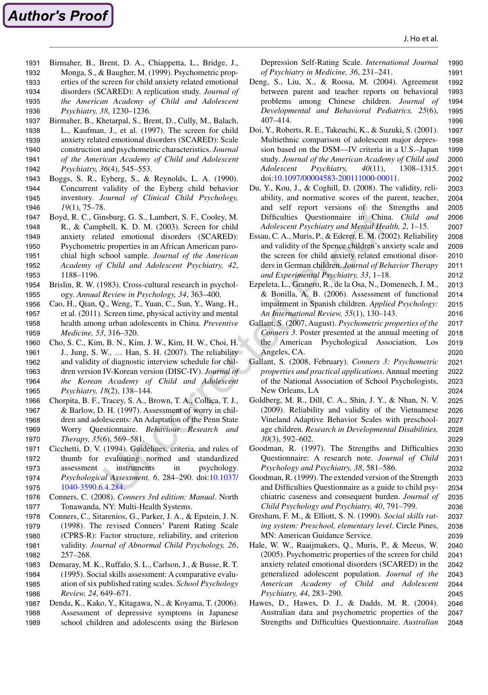**Author's Proof** 

2030 2031 2032

- <span id="page-22-21"></span>Birmaher, B., Brent, D. A., Chiappetta, L., Bridge, J., 1931
- Monga, S., & Baugher, M. (1999). Psychometric properties of the screen for child anxiety related emotional 1932 1933
- disorders (SCARED): A replication study. *Journal of*  1934
- *the American Academy of Child and Adolescent*  1935

*Psychiatry, 38*, 1230–1236. 1936

- <span id="page-22-20"></span>Birmaher, B., Khetarpal, S., Brent, D., Cully, M., Balach, L., Kaufman, J., et al. (1997). The screen for child anxiety related emotional disorders (SCARED): Scale construction and psychometric characteristics. *Journal of the American Academy of Child and Adolescent Psychiatry, 36*(4), 545–553. 1937 1938 1939 1940 1941 1942
- <span id="page-22-3"></span>Boggs, S. R., Eyberg, S., & Reynolds, L. A. (1990). Concurrent validity of the Eyberg child behavior inventory. *Journal of Clinical Child Psychology, 19*(1), 75–78. 1943 1944 1945 1946
- <span id="page-22-22"></span>Boyd, R. C., Ginsburg, G. S., Lambert, S. F., Cooley, M. R., & Campbell, K. D. M. (2003). Screen for child anxiety related emotional disorders (SCARED): Psychometric properties in an African American parochial high school sample. *Journal of the American Academy of Child and Adolescent Psychiatry, 42*, 1188–1196. 1947 1948 1949 1950 1951 1952 1953
- <span id="page-22-4"></span>Brislin, R. W. (1983). Cross-cultural research in psychology. *Annual Review in Psychology, 34*, 363–400. 1954 1955
- <span id="page-22-18"></span>Cao, H., Qian, Q., Weng, T., Yuan, C., Sun, Y., Wang, H., et al. (2011). Screen time, physical activity and mental health among urban adolescents in China. *Preventive Medicine, 53*, 316–320. 1956 1957 1958 1959
- <span id="page-22-14"></span>Cho, S. C., Kim, B. N., Kim, J. W., Kim, H. W., Choi, H. J., Jung, S. W., … Han, S. H. (2007). The reliability and validity of diagnostic interview schedule for children version IV-Korean version (DISC-IV). *Journal of the Korean Academy of Child and Adolescent Psychiatry, 18*(2), 138–144. 1960 1961 1962 1963 1964 1965
- <span id="page-22-25"></span>Chorpita, B. F., Tracey, S. A., Brown, T. A., Collica, T. J., & Barlow, D. H. (1997). Assessment of worry in children and adolescents: An Adaptation of the Penn State Worry Questionnaire. *Behaviour Research and Therapy, 35*(6), 569–581. 1966 1967 1968 1969 1970
- <span id="page-22-10"></span>Cicchetti, D. V. (1994). Guidelines, criteria, and rules of thumb for evaluating normed and standardized assessment instruments in psychology. *Psychological Assessment, 6*, 284–290. doi:[10.1037/](http://dx.doi.org/10.1037/1040-3590.6.4.284)  [1040-3590.6.4.284](http://dx.doi.org/10.1037/1040-3590.6.4.284). 1971 1972 1973 1974 1975
- <span id="page-22-15"></span>Conners, C. (2008). *Conners 3rd edition: Manual*. North Tonawanda, NY: Multi-Health Systems. 1976 1977
- <span id="page-22-1"></span>Conners, C., Sitarenios, G., Parker, J. A., & Epstein, J. N. (1998). The revised Conners' Parent Rating Scale (CPRS-R): Factor structure, reliability, and criterion validity. *Journal of Abnormal Child Psychology, 26*, 257–268. 1978 1979 1980 1981 1982
- <span id="page-22-7"></span>Demaray, M. K., Ruffalo, S. L., Carlson, J., & Busse, R. T. (1995). Social skills assessment: A comparative evaluation of six published rating scales. *School Psychology Review, 24*, 649–671. 1983 1984 1985 1986
- <span id="page-22-19"></span>Denda, K., Kako, Y., Kitagawa, N., & Koyama, T. (2006). Assessment of depressive symptoms in Japanese school children and adolescents using the Birleson 1987 1988 1989

Depression Self-Rating Scale. *International Journal of Psychiatry in Medicine, 36*, 231–241. 1990 1991

- <span id="page-22-2"></span>Deng, S., Liu, X., & Roosa, M. (2004). Agreement between parent and teacher reports on behavioral problems among Chinese children. *Journal of Developmental and Behavioral Pediatrics, 25*(6), 407–414. 1992 1993 1994 1995 1996
- <span id="page-22-13"></span>Doi, Y., Roberts, R. E., Takeuchi, K., & Suzuki, S. (2001). Multiethnic comparison of adolescent major depression based on the DSM—IV criteria in a U.S.–Japan study. *Journal of the American Academy of Child and Adolescent Psychiatry, 40*(11), 1308–1315. doi[:10.1097/00004583-200111000-00011](http://dx.doi.org/10.1097/00004583-200111000-00011). 1997 1998 1999 2000 2001 2002
- <span id="page-22-9"></span>Du, Y., Kou, J., & Coghill, D. (2008). The validity, reliability, and normative scores of the parent, teacher, and self report versions of the Strengths and Difficulties Questionnaire in China. *Child and Adolescent Psychiatry and Mental Health, 2*, 1–15.
- <span id="page-22-23"></span>Essau, C. A., Muris, P., & Ederer, E. M. (2002). Reliability and validity of the Spence children's anxiety scale and the screen for child anxiety related emotional disorders in German children. *Journal of Behavior Therapy and Experimental Psychiatry, 33*, 1–18. 2008 2009 2010 2011 2012
- <span id="page-22-0"></span>Ezpeleta, L., Granero, R., de la Osa, N., Domenech, J. M., & Bonilla, A. B. (2006). Assessment of functional impairment in Spanish children. *Applied Psychology: An International Review, 55*(1), 130–143. 2013 2014 2015 2016
- <span id="page-22-16"></span>Gallant, S. (2007, August). *Psychometric properties of the Conners 3*. Poster presented at the annual meeting of the American Psychological Association, Los Angeles, CA. 2017 2018 2019 2020
- <span id="page-22-17"></span>Gallant, S. (2008, February). *Conners 3: Psychometric properties and practical applications*. Annual meeting of the National Association of School Psychologists, New Orleans, LA 2021 2022 2023 2024
- <span id="page-22-5"></span>Goldberg, M. R., Dill, C. A., Shin, J. Y., & Nhan, N. V. (2009). Reliability and validity of the Vietnamese Vineland Adaptive Behavior Scales with preschoolage children. *Research in Developmental Disabilities, 30*(3), 592–602. 2025 2026 2027 2028 2029
- <span id="page-22-8"></span>Goodman, R. (1997). The Strengths and Difficulties Questionnaire: A research note. *Journal of Child Psychology and Psychiatry, 38*, 581–586.
- <span id="page-22-11"></span>Goodman, R. (1999). The extended version of the Strength and Difficulties Questionnaire as a guide to child psychiatric caseness and consequent burden. *Journal of Child Psychology and Psychiatry, 40*, 791–799. 2033 2034 2035 2036
- <span id="page-22-6"></span>Gresham, F. M., & Elliott, S. N. (1990). *Social skills rating system: Preschool, elementary level*. Circle Pines, MN: American Guidance Service. 2037 2038 2039
- <span id="page-22-24"></span>Hale, W. W., Raaijmakers, Q., Muris, P., & Meeus, W. (2005). Psychometric properties of the screen for child anxiety related emotional disorders (SCARED) in the generalized adolescent population. *Journal of the American Academy of Child and Adolescent Psychiatry, 44*, 283–290. 2040 2041 2042 2043 2044 2045
- <span id="page-22-12"></span>Hawes, D., Hawes, D. J., & Dadds, M. R. (2004). Australian data and psychometric properties of the Strengths and Difficulties Questionnaire. *Australian*  2046 2047 2048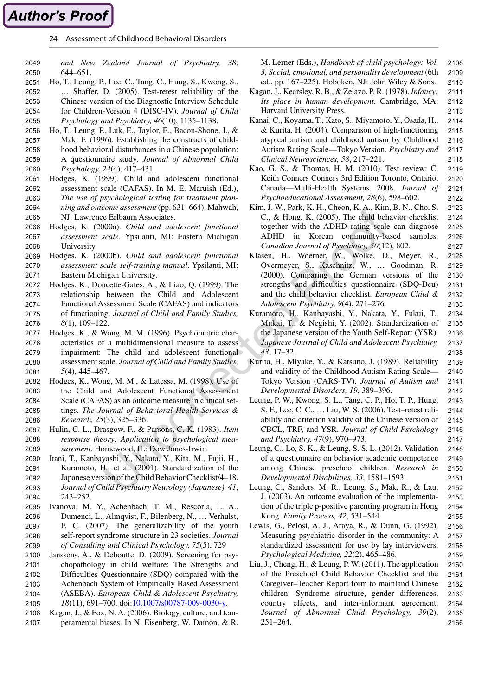## **Author's Proof**

24 Assessment of Childhood Behavioral Disorders

*and New Zealand Journal of Psychiatry, 38*, 644–651. 2049 2050

- <span id="page-23-21"></span>Ho, T., Leung, P., Lee, C., Tang, C., Hung, S., Kwong, S., … Shaffer, D. (2005). Test-retest reliability of the Chinese version of the Diagnostic Interview Schedule for Children-Version 4 (DISC-IV). *Journal of Child Psychology and Psychiatry, 46*(10), 1135–1138. 2051 2052 2053 2054 2055
- <span id="page-23-7"></span>Ho, T., Leung, P., Luk, E., Taylor, E., Bacon-Shone, J., & Mak, F. (1996). Establishing the constructs of childhood behavioral disturbances in a Chinese population: A questionnaire study. *Journal of Abnormal Child Psychology, 24*(4), 417–431. 2056 2057 2058 2059 2060
- <span id="page-23-4"></span>Hodges, K. (1999). Child and adolescent functional assessment scale (CAFAS). In M. E. Maruish (Ed.), *The use of psychological testing for treatment planning and outcome assessment* (pp. 631–664). Mahwah, NJ: Lawrence Erlbaum Associates. 2061 2062 2063 2064 2065
- <span id="page-23-0"></span>Hodges, K. (2000a). *Child and adolescent functional assessment scale*. Ypsilanti, MI: Eastern Michigan University. 2066 2067 2068
- <span id="page-23-1"></span>Hodges, K. (2000b). *Child and adolescent functional assessment scale self-training manual*. Ypsilanti, MI: Eastern Michigan University. 2069 2070 2071
- <span id="page-23-3"></span>Hodges, K., Doucette-Gates, A., & Liao, Q. (1999). The relationship between the Child and Adolescent Functional Assessment Scale (CAFAS) and indicators of functioning. *Journal of Child and Family Studies, 8*(1), 109–122. 2072 2073 2074 2075 2076
- <span id="page-23-2"></span>Hodges, K., & Wong, M. M. (1996). Psychometric characteristics of a multidimensional measure to assess impairment: The child and adolescent functional assessment scale. *Journal of Child and Family Studies, 5*(4), 445–467. 2077 2078 2079 2080 2081
- <span id="page-23-5"></span>Hodges, K., Wong, M. M., & Latessa, M. (1998). Use of the Child and Adolescent Functional Assessment Scale (CAFAS) as an outcome measure in clinical settings. *The Journal of Behavioral Health Services & Research, 25*(3), 325–336. 2082 2083 2084 2085 2086
- <span id="page-23-14"></span>Hulin, C. L., Drasgow, F., & Parsons, C. K. (1983). *Item response theory: Application to psychological measurement*. Homewood, IL: Dow Jones-Irwin. 2087 2088 2089
- <span id="page-23-11"></span>Itani, T., Kanbayashi, Y., Nakata, Y., Kita, M., Fujii, H., Kuramoto, H., et al. (2001). Standardization of the Japanese version of the Child Behavior Checklist/4–18. *Journal of Child Psychiatry Neurology (Japanese), 41*, 243–252. 2090 2091 2092 2093 2094
- <span id="page-23-8"></span>Ivanova, M. Y., Achenbach, T. M., Rescorla, L. A., Dumenci, L., Almqvist, F., Bilenberg, N., … Verhulst, F. C. (2007). The generalizability of the youth self-report syndrome structure in 23 societies. *Journal of Consulting and Clinical Psychology, 75*(5), 729 2095 2096 2097 2098 2099
- <span id="page-23-17"></span>Janssens, A., & Deboutte, D. (2009). Screening for psychopathology in child welfare: The Strengths and Difficulties Questionnaire (SDQ) compared with the Achenbach System of Empirically Based Assessment (ASEBA). *European Child & Adolescent Psychiatry, 18*(11), 691–700. doi:[10.1007/s00787-009-0030-y](http://dx.doi.org/10.1007/s00787-009-0030-y). 2100 2101 2102 2103 2104 2105
- <span id="page-23-15"></span>Kagan, J., & Fox, N. A. (2006). Biology, culture, and tem-2106
- peramental biases. In N. Eisenberg, W. Damon, & R. 2107

M. Lerner (Eds.), *Handbook of child psychology: Vol. 3, Social, emotional, and personality development* (6th ed., pp. 167–225). Hoboken, NJ: John Wiley & Sons. 2108 2109 2110

- <span id="page-23-16"></span>Kagan, J., Kearsley, R. B., & Zelazo, P. R. (1978). *Infancy: Its place in human development*. Cambridge, MA: Harvard University Press. 2111 2112 2113
- <span id="page-23-24"></span>Kanai, C., Koyama, T., Kato, S., Miyamoto, Y., Osada, H., & Kurita, H. (2004). Comparison of high-functioning atypical autism and childhood autism by Childhood Autism Rating Scale—Tokyo Version. *Psychiatry and Clinical Neurosciences, 58*, 217–221. 2114 2115 2116 2117 2118
- <span id="page-23-22"></span>Kao, G. S., & Thomas, H. M. (2010). Test review: C. Keith Conners Conners 3rd Edition Toronto, Ontario, Canada—Multi-Health Systems, 2008. *Journal of Psychoeducational Assessment, 28*(6), 598–602. 2119 2120 2121 2122
- <span id="page-23-12"></span>Kim, J. W., Park, K. H., Cheon, K. A., Kim, B. N., Cho, S. C., & Hong, K. (2005). The child behavior checklist together with the ADHD rating scale can diagnose ADHD in Korean community-based samples. *Canadian Journal of Psychiatry, 50*(12), 802. 2123 2124 2125 2126 2127
- <span id="page-23-19"></span>Klasen, H., Woerner, W., Wolke, D., Meyer, R., Overmeyer, S., Kaschnitz, W., … Goodman, R. (2000). Comparing the German versions of the strengths and difficulties questionnaire (SDQ-Deu) and the child behavior checklist. *European Child & Adolescent Psychiatry, 9*(4), 271–276. 2128 2129 2130 2131 2132 2133
- <span id="page-23-10"></span>Kuramoto, H., Kanbayashi, Y., Nakata, Y., Fukui, T., Mukai, T., & Negishi, Y. (2002). Standardization of the Japanese version of the Youth Self-Report (YSR). *Japanese Journal of Child and Adolescent Psychiatry, 43*, 17–32. 2134 2135 2136 2137 2138
- <span id="page-23-23"></span>Kurita, H., Miyake, Y., & Katsuno, J. (1989). Reliability and validity of the Childhood Autism Rating Scale— Tokyo Version (CARS-TV). *Journal of Autism and Developmental Disorders, 19*, 389–396. 2139 2140 2141 2142
- <span id="page-23-9"></span>Leung, P. W., Kwong, S. L., Tang, C. P., Ho, T. P., Hung, S. F., Lee, C. C., … Liu, W. S. (2006). Test–retest reliability and criterion validity of the Chinese version of CBCL, TRF, and YSR. *Journal of Child Psychology and Psychiatry, 47*(9), 970–973. 2143 2144 2145 2146 2147
- <span id="page-23-18"></span>Leung, C., Lo, S. K., & Leung, S. S. L. (2012). Validation of a questionnaire on behavior academic competence among Chinese preschool children. *Research in Developmental Disabilities, 33*, 1581–1593. 2148 2149 2150 2151
- <span id="page-23-13"></span>Leung, C., Sanders, M. R., Leung, S., Mak, R., & Lau, J. (2003). An outcome evaluation of the implementation of the triple p-positive parenting program in Hong Kong. *Family Process, 42*, 531–544. 2152 2153 2154 2155
- <span id="page-23-20"></span>Lewis, G., Pelosi, A. J., Araya, R., & Dunn, G. (1992). Measuring psychiatric disorder in the community: A standardized assessment for use by lay interviewers. *Psychological Medicine, 22*(2), 465–486. 2156 2157 2158 2159
- <span id="page-23-6"></span>Liu, J., Cheng, H., & Leung, P. W. (2011). The application of the Preschool Child Behavior Checklist and the Caregiver–Teacher Report form to mainland Chinese children: Syndrome structure, gender differences, country effects, and inter-informant agreement. *Journal of Abnormal Child Psychology, 39*(2), 251–264. 2160 2161 2162 2163 2164 2165 2166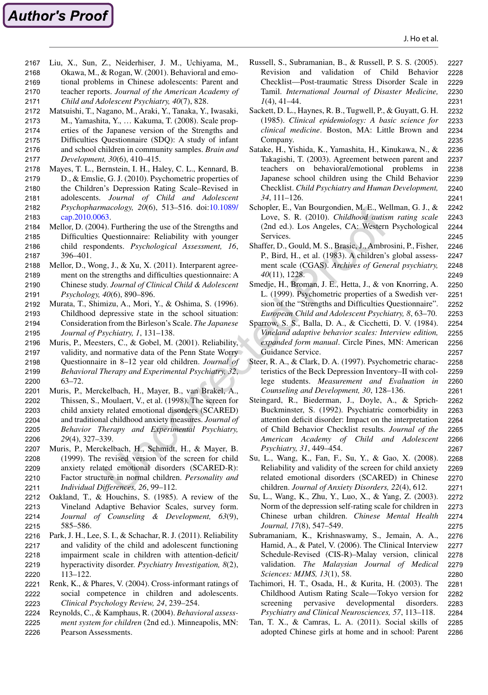- <span id="page-24-4"></span>Liu, X., Sun, Z., Neiderhiser, J. M., Uchiyama, M., Okawa, M., & Rogan, W. (2001). Behavioral and emo-2167 2168
- tional problems in Chinese adolescents: Parent and 2169
- teacher reports. *Journal of the American Academy of*  2170
- *Child and Adolescent Psychiatry, 40*(7), 828. 2171
- <span id="page-24-14"></span>Matsuishi, T., Nagano, M., Araki, Y., Tanaka, Y., Iwasaki, 2172
- M., Yamashita, Y., … Kakuma, T. (2008). Scale prop-2173 2174
- erties of the Japanese version of the Strengths and Difficulties Questionnaire (SDQ): A study of infant 2175
- and school children in community samples. *Brain and*  2176
- *Development, 30*(6), 410–415. 2177
- <span id="page-24-20"></span>Mayes, T. L., Bernstein, I. H., Haley, C. L., Kennard, B. D., & Emslie, G. J. (2010). Psychometric properties of the Children's Depression Rating Scale–Revised in adolescents. *Journal of Child and Adolescent Psychopharmacology, 20*(6), 513–516. doi:[10.1089/](http://dx.doi.org/10.1089/cap.2010.0063) [cap.2010.0063](http://dx.doi.org/10.1089/cap.2010.0063). 2178 2179 2180 2181 2182 2183
- <span id="page-24-13"></span>Mellor, D. (2004). Furthering the use of the Strengths and Difficulties Questionnaire: Reliability with younger child respondents. *Psychological Assessment, 16*, 396–401. 2184 2185 2186 2187
- <span id="page-24-12"></span>Mellor, D., Wong, J., & Xu, X. (2011). Interparent agreement on the strengths and difficulties questionnaire: A Chinese study. *Journal of Clinical Child & Adolescent Psychology, 40*(6), 890–896. 2188 2189 2190 2191
- <span id="page-24-18"></span>Murata, T., Shimizu, A., Mori, Y., & Oshima, S. (1996). Childhood depressive state in the school situation: Consideration from the Birleson's Scale. *The Japanese Journal of Psychiatry, 1*, 131–138. 2192 2193 2194 2195
- <span id="page-24-24"></span>Muris, P., Meesters, C., & Gobel, M. (2001). Reliability, validity, and normative data of the Penn State Worry Questionnaire in 8–12 year old children. *Journal of Behavioral Therapy and Experimental Psychiatry, 32*, 63–72. 2196 2197 2198 2199 2200
- <span id="page-24-22"></span>Muris, P., Merckelbach, H., Mayer, B., van Brakel, A., Thissen, S., Moulaert, V., et al. (1998). The screen for child anxiety related emotional disorders (SCARED) and traditional childhood anxiety measures. *Journal of Behavior Therapy and Experimental Psychiatry, 29*(4), 327–339. 2201 2202 2203 2204 2205 2206
- <span id="page-24-21"></span>Muris, P., Merckelbach, H., Schmidt, H., & Mayer, B. (1999). The revised version of the screen for child anxiety related emotional disorders (SCARED-R): Factor structure in normal children. *Personality and Individual Differences, 26*, 99–112. 2207 2208 2209 2210 2211
- <span id="page-24-9"></span>Oakland, T., & Houchins, S. (1985). A review of the Vineland Adaptive Behavior Scales, survey form. *Journal of Counseling & Development, 63*(9), 585–586. 2212 2213 2214 2215
- <span id="page-24-0"></span>Park, J. H., Lee, S. I., & Schachar, R. J. (2011). Reliability and validity of the child and adolescent functioning impairment scale in children with attention-deficit/ hyperactivity disorder. *Psychiatry Investigation, 8*(2), 113–122. 2216 2217 2218 2219 2220
- <span id="page-24-10"></span>Renk, K., & Phares, V. (2004). Cross-informant ratings of social competence in children and adolescents. *Clinical Psychology Review, 24*, 239–254. 2221 2222 2223
- <span id="page-24-3"></span>Reynolds, C., & Kamphaus, R. (2004). *Behavioral assessment system for children* (2nd ed.). Minneapolis, MN: Pearson Assessments. 2224 2225 2226
- <span id="page-24-5"></span>Russell, S., Subramanian, B., & Russell, P. S. S. (2005). Revision and validation of Child Behavior Checklist—Post-traumatic Stress Disorder Scale in Tamil. *International Journal of Disaster Medicine, 1*(4), 41–44. 2227 2228 2229 2230 2231
- <span id="page-24-2"></span>Sackett, D. L., Haynes, R. B., Tugwell, P., & Guyatt, G. H. (1985). *Clinical epidemiology: A basic science for clinical medicine*. Boston, MA: Little Brown and Company. 2232 2233 2234 2235
- <span id="page-24-6"></span>Satake, H., Yishida, K., Yamashita, H., Kinukawa, N., & Takagishi, T. (2003). Agreement between parent and teachers on behavioral/emotional problems in Japanese school children using the Child Behavior Checklist. *Child Psychiatry and Human Development, 34*, 111–126. 2236 2237 2238 2239 2240 2241
- <span id="page-24-25"></span>Schopler, E., Van Bourgondien, M. E., Wellman, G. J., & Love, S. R. (2010). *Childhood autism rating scale* (2nd ed.). Los Angeles, CA: Western Psychological Services.
- <span id="page-24-1"></span>Shaffer, D., Gould, M. S., Brasic, J., Ambrosini, P., Fisher, P., Bird, H., et al. (1983). A children's global assessment scale (CGAS). *Archives of General psychiatry, 40*(11), 1228.
- <span id="page-24-15"></span>Smedje, H., Broman, J. E., Hetta, J., & von Knorring, A. L. (1999). Psychometric properties of a Swedish version of the "Strengths and Difficulties Questionnaire". *European Child and Adolescent Psychiatry, 8*, 63–70.
- <span id="page-24-8"></span>Sparrow, S. S., Balla, D. A., & Cicchetti, D. V. (1984). *Vineland adaptive behavior scales: Interview edition, expanded form manual*. Circle Pines, MN: American Guidance Service.
- <span id="page-24-19"></span>Steer, R. A., & Clark, D. A. (1997). Psychometric characteristics of the Beck Depression Inventory–II with college students. *Measurement and Evaluation in Counseling and Development, 30*, 128–136.
- <span id="page-24-7"></span>Steingard, R., Biederman, J., Doyle, A., & Sprich-Buckminster, S. (1992). Psychiatric comorbidity in attention deficit disorder: Impact on the interpretation of Child Behavior Checklist results. *Journal of the American Academy of Child and Adolescent Psychiatry, 31*, 449–454. 2262 2263 2264 2265 2266 2267
- <span id="page-24-23"></span>Su, L., Wang, K., Fan, F., Su, Y., & Gao, X. (2008). Reliability and validity of the screen for child anxiety related emotional disorders (SCARED) in Chinese children. *Journal of Anxiety Disorders, 22*(4), 612. 2268 2269 2270 2271
- <span id="page-24-17"></span>Su, L., Wang, K., Zhu, Y., Luo, X., & Yang, Z. (2003). Norm of the depression self-rating scale for children in Chinese urban children. *Chinese Mental Health Journal, 17*(8), 547–549. 2272 2273 2274 2275
- <span id="page-24-16"></span>Subramaniam, K., Krishnaswamy, S., Jemain, A. A., Hamid, A., & Patel, V. (2006). The Clinical Interview Schedule-Revised (CIS-R)–Malay version, clinical validation. *The Malaysian Journal of Medical Sciences: MJMS, 13*(1), 58. 2276 2277 2278 2279 2280
- <span id="page-24-26"></span>Tachimori, H. T., Osada, H., & Kurita, H. (2003). The Childhood Autism Rating Scale—Tokyo version for screening pervasive developmental disorders. *Psychiatry and Clinical Neurosciences, 57*, 113–118. 2281 2282 2283 2284
- <span id="page-24-11"></span>Tan, T. X., & Camras, L. A. (2011). Social skills of adopted Chinese girls at home and in school: Parent 2285 2286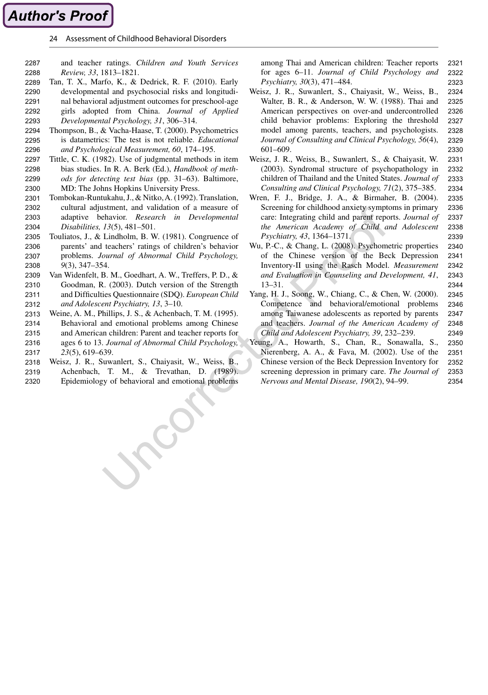- **Author's Proof** 
	- 24 Assessment of Childhood Behavioral Disorders

and teacher ratings. *Children and Youth Services Review, 33*, 1813–1821. 2287 2288

<span id="page-25-9"></span>Tan, T. X., Marfo, K., & Dedrick, R. F. (2010). Early developmental and psychosocial risks and longitudinal behavioral adjustment outcomes for preschool-age girls adopted from China. *Journal of Applied*  2289 2290 2291 2292

*Developmental Psychology, 31*, 306–314. 2293

- <span id="page-25-0"></span>Thompson, B., & Vacha-Haase, T. (2000). Psychometrics is datametrics: The test is not reliable. *Educational and Psychological Measurement, 60*, 174–195. 2294 2295 2296
- <span id="page-25-8"></span>Tittle, C. K. (1982). Use of judgmental methods in item bias studies. In R. A. Berk (Ed.), *Handbook of methods for detecting test bias* (pp. 31–63). Baltimore, MD: The Johns Hopkins University Press. 2297 2298 2299 2300
- <span id="page-25-7"></span>Tombokan-Runtukahu, J., & Nitko, A. (1992). Translation, cultural adjustment, and validation of a measure of adaptive behavior. *Research in Developmental Disabilities, 13*(5), 481–501. 2301 2302 2303 2304
- <span id="page-25-2"></span>Touliatos, J., & Lindholm, B. W. (1981). Congruence of parents' and teachers' ratings of children's behavior problems. *Journal of Abnormal Child Psychology, 9*(3), 347–354. 2305 2306 2307 2308
- <span id="page-25-10"></span>Van Widenfelt, B. M., Goedhart, A. W., Treffers, P. D., & Goodman, R. (2003). Dutch version of the Strength and Difficulties Questionnaire (SDQ). *European Child and Adolescent Psychiatry, 13*, 3–10. 2309 2310 2311 2312
- <span id="page-25-4"></span>Weine, A. M., Phillips, J. S., & Achenbach, T. M. (1995). Behavioral and emotional problems among Chinese and American children: Parent and teacher reports for ages 6 to 13. *Journal of Abnormal Child Psychology,*  2313 2314 2315 2316
- *23*(5), 619–639. 2317
- <span id="page-25-3"></span>Weisz, J. R., Suwanlert, S., Chaiyasit, W., Weiss, B., Achenbach, T. M., & Trevathan, D. (1989). 2318 2319
- Epidemiology of behavioral and emotional problems 2320

among Thai and American children: Teacher reports for ages 6–11. *Journal of Child Psychology and Psychiatry, 30*(3), 471–484. 2321 2322 2323

- <span id="page-25-6"></span>Weisz, J. R., Suwanlert, S., Chaiyasit, W., Weiss, B., Walter, B. R., & Anderson, W. W. (1988). Thai and American perspectives on over-and undercontrolled child behavior problems: Exploring the threshold model among parents, teachers, and psychologists. *Journal of Consulting and Clinical Psychology, 56*(4), 601–609. 2324 2325 2326 2327 2328 2329 2330
- <span id="page-25-5"></span>Weisz, J. R., Weiss, B., Suwanlert, S., & Chaiyasit, W. (2003). Syndromal structure of psychopathology in children of Thailand and the United States. *Journal of Consulting and Clinical Psychology, 71*(2), 375–385. 2331 2332 2333 2334
- <span id="page-25-13"></span>Wren, F. J., Bridge, J. A., & Birmaher, B. (2004). Screening for childhood anxiety symptoms in primary care: Integrating child and parent reports. *Journal of the American Academy of Child and Adolescent Psychiatry, 43*, 1364–1371. 2335 2336 2337 2338 2339
- <span id="page-25-11"></span>Wu, P.-C., & Chang, L. (2008). Psychometric properties of the Chinese version of the Beck Depression Inventory-II using the Rasch Model. *Measurement and Evaluation in Counseling and Development, 41*, 13–31. 2340 2341 2342 2343 2344
- <span id="page-25-1"></span>Yang, H. J., Soong, W., Chiang, C., & Chen, W. (2000). Competence and behavioral/emotional problems among Taiwanese adolescents as reported by parents and teachers. *Journal of the American Academy of Child and Adolescent Psychiatry, 39*, 232–239. 2345 2346 2347 2348 2349
- <span id="page-25-12"></span>Yeung, A., Howarth, S., Chan, R., Sonawalla, S., Nierenberg, A. A., & Fava, M. (2002). Use of the Chinese version of the Beck Depression Inventory for screening depression in primary care. *The Journal of Nervous and Mental Disease, 190*(2), 94–99. 2350 2351 2352 2353 2354